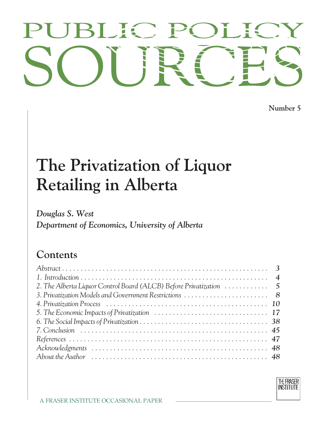# PUBLIC POLICY<br>SOURCES PUBLIC POLICY

**Number 5**

# **The Private Private Liverse Private Retailing in Alberta**

*Doboutment* of F *Department of Economics, University of Alberta*

# Contents

| 2. The Alberta Liquor Control Board (ALCB) Before Privatization  5 |  |
|--------------------------------------------------------------------|--|
|                                                                    |  |
|                                                                    |  |
|                                                                    |  |
|                                                                    |  |
|                                                                    |  |
|                                                                    |  |
|                                                                    |  |
|                                                                    |  |
|                                                                    |  |

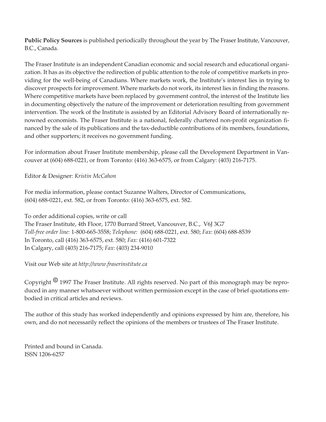**Public Policy Sources** is published periodically throughout the year by The Fraser Institute, Vancouver, B.C., Canada.

The Fraser Institute is an independent Canadian economic and social research and educational organization. It has as its objective the redirection of public attention to the role of competitive markets in providing for the well-being of Canadians. Where markets work, the Institute's interest lies in trying to discover prospects for improvement. Where markets do not work, its interest lies in finding the reasons. Where competitive markets have been replaced by government control, the interest of the Institute lies in documenting objectively the nature of the improvement or deterioration resulting from government intervention. The work of the Institute is assisted by an Editorial Advisory Board of internationally renowned economists. The Fraser Institute is a national, federally chartered non-profit organization financed by the sale of its publications and the tax-deductible contributions of its members, foundations, and other supporters; it receives no government funding.

For information about Fraser Institute membership, please call the Development Department in Vancouver at (604) 688-0221, or from Toronto: (416) 363-6575, or from Calgary: (403) 216-7175.

Editor & Designer: *Kristin McCahon*

For media information, please contact Suzanne Walters, Director of Communications, (604) 688-0221, ext. 582, or from Toronto: (416) 363-6575, ext. 582.

To order additional copies, write or call The Fraser Institute, 4th Floor, 1770 Burrard Street, Vancouver, B.C., V6J 3G7 *Toll-free order line:* 1-800-665-3558; *Telephone:* (604) 688-0221, ext. 580; *Fax*: (604) 688-8539 In Toronto, call (416) 363-6575, ext. 580; *Fax:* (416) 601-7322 In Calgary, call (403) 216-7175; *Fax*: (403) 234-9010

Visit our Web site at *http://www.fraserinstitute.ca*

Copyright *8* 1997 The Fraser Institute. All rights reserved. No part of this monograph may be reproduced in any manner whatsoever without written permission except in the case of brief quotations embodied in critical articles and reviews.

The author of this study has worked independently and opinions expressed by him are, therefore, his own, and do not necessarily reflect the opinions of the members or trustees of The Fraser Institute.

Printed and bound in Canada. ISSN 1206-6257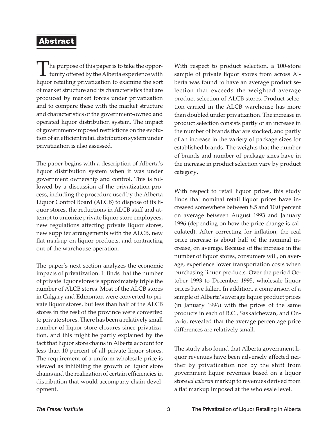#### **Abstract**

The purpose of this paper is to take the oppor- $\perp$  tunity offered by the Alberta experience with liquor retailing privatization to examine the sort of market structure and its characteristics that are produced by market forces under privatization and to compare these with the market structure and characteristics of the government-owned and operated liquor distribution system. The impact of government-imposed restrictions on the evolution of an efficient retail distribution system under privatization is also assessed.

The paper begins with a description of Alberta's liquor distribution system when it was under government ownership and control. This is followed by a discussion of the privatization process, including the procedure used by the Alberta Liquor Control Board (ALCB) to dispose of its liquor stores, the reductions in ALCB staff and attempt to unionize private liquor store employees, new regulations affecting private liquor stores, new supplier arrangements with the ALCB, new flat markup on liquor products, and contracting out of the warehouse operation.

The paper's next section analyzes the economic impacts of privatization. It finds that the number of private liquor stores is approximately triple the number of ALCB stores. Most of the ALCB stores in Calgary and Edmonton were converted to private liquor stores, but less than half of the ALCB stores in the rest of the province were converted to private stores. There has been a relatively small number of liquor store closures since privatization, and this might be partly explained by the fact that liquor store chains in Alberta account for less than 10 percent of all private liquor stores. The requirement of a uniform wholesale price is viewed as inhibiting the growth of liquor store chains and the realization of certain efficiencies in distribution that would accompany chain development.

With respect to product selection, a 100-store sample of private liquor stores from across Alberta was found to have an average product selection that exceeds the weighted average product selection of ALCB stores. Product selection carried in the ALCB warehouse has more than doubled under privatization. The increase in product selection consists partly of an increase in the number of brands that are stocked, and partly of an increase in the variety of package sizes for established brands. The weights that the number of brands and number of package sizes have in the increase in product selection vary by product category.

With respect to retail liquor prices, this study finds that nominal retail liquor prices have increased somewhere between 8.5 and 10.0 percent on average between August 1993 and January 1996 (depending on how the price change is calculated). After correcting for inflation, the real price increase is about half of the nominal increase, on average. Because of the increase in the number of liquor stores, consumers will, on average, experience lower transportation costs when purchasing liquor products. Over the period October 1993 to December 1995, wholesale liquor prices have fallen. In addition, a comparison of a sample of Alberta's average liquor product prices (in January 1996) with the prices of the same products in each of B.C., Saskatchewan, and Ontario, revealed that the average percentage price differences are relatively small.

The study also found that Alberta government liquor revenues have been adversely affected neither by privatization nor by the shift from government liquor revenues based on a liquor store *ad valorem* markup to revenues derived from a flat markup imposed at the wholesale level.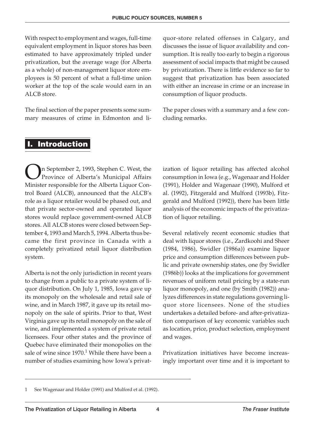With respect to employment and wages, full-time equivalent employment in liquor stores has been estimated to have approximately tripled under privatization, but the average wage (for Alberta as a whole) of non-management liquor store employees is 50 percent of what a full-time union worker at the top of the scale would earn in an ALCB store.

The final section of the paper presents some summary measures of crime in Edmonton and li-

quor-store related offenses in Calgary, and discusses the issue of liquor availability and consumption. It is really too early to begin a rigorous assessment of social impacts that might be caused by privatization. There is little evidence so far to suggest that privatization has been associated with either an increase in crime or an increase in consumption of liquor products.

The paper closes with a summary and a few concluding remarks.

# **I. Introduction**

On September 2, 1993, Stephen C. West, the<br>Province of Alberta's Municipal Affairs Province of Alberta's Municipal Affairs Minister responsible for the Alberta Liquor Control Board (ALCB), announced that the ALCB's role as a liquor retailer would be phased out, and that private sector-owned and operated liquor stores would replace government-owned ALCB stores. All ALCB stores were closed between September 4, 1993 and March 5, 1994. Alberta thus became the first province in Canada with a completely privatized retail liquor distribution system.

Alberta is not the only jurisdiction in recent years to change from a public to a private system of liquor distribution. On July 1, 1985, Iowa gave up its monopoly on the wholesale and retail sale of wine, and in March 1987, it gave up its retail monopoly on the sale of spirits. Prior to that, West Virginia gave up its retail monopoly on the sale of wine, and implemented a system of private retail licensees. Four other states and the province of Quebec have eliminated their monopolies on the sale of wine since  $1970<sup>1</sup>$  While there have been a number of studies examining how Iowa's privatization of liquor retailing has affected alcohol consumption in Iowa (e.g., Wagenaar and Holder (1991), Holder and Wagenaar (1990), Mulford et al. (1992), Fitzgerald and Mulford (1993b), Fitzgerald and Mulford (1992)), there has been little analysis of the economic impacts of the privatization of liquor retailing.

Several relatively recent economic studies that deal with liquor stores (i.e., Zardkoohi and Sheer (1984, 1986), Swidler (1986a)) examine liquor price and consumption differences between public and private ownership states, one (by Swidler (1986b)) looks at the implications for government revenues of uniform retail pricing by a state-run liquor monopoly, and one (by Smith (1982)) analyzes differences in state regulations governing liquor store licensees. None of the studies undertakes a detailed before- and after-privatization comparison of key economic variables such as location, price, product selection, employment and wages.

Privatization initiatives have become increasingly important over time and it is important to

<sup>1</sup> See Wagenaar and Holder (1991) and Mulford et al. (1992).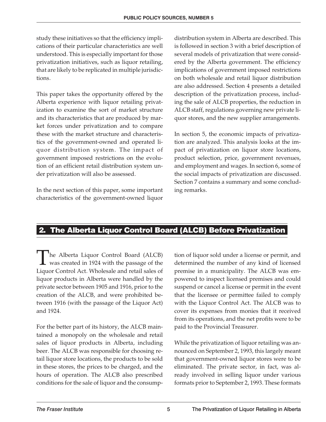study these initiatives so that the efficiency implications of their particular characteristics are well understood. This is especially important for those privatization initiatives, such as liquor retailing, that are likely to be replicated in multiple jurisdictions.

This paper takes the opportunity offered by the Alberta experience with liquor retailing privatization to examine the sort of market structure and its characteristics that are produced by market forces under privatization and to compare these with the market structure and characteristics of the government-owned and operated liquor distribution system. The impact of government imposed restrictions on the evolution of an efficient retail distribution system under privatization will also be assessed.

In the next section of this paper, some important characteristics of the government-owned liquor

distribution system in Alberta are described. This is followed in section 3 with a brief description of several models of privatization that were considered by the Alberta government. The efficiency implications of government imposed restrictions on both wholesale and retail liquor distribution are also addressed. Section 4 presents a detailed description of the privatization process, including the sale of ALCB properties, the reduction in ALCB staff, regulations governing new private liquor stores, and the new supplier arrangements.

In section 5, the economic impacts of privatization are analyzed. This analysis looks at the impact of privatization on liquor store locations, product selection, price, government revenues, and employment and wages. In section 6, some of the social impacts of privatization are discussed. Section 7 contains a summary and some concluding remarks.

# **2. The Alberta Liquor Control Board (ALCB) Before Privatization**

The Alberta Liquor Control Board (ALCB)  $\blacksquare$  was created in 1924 with the passage of the Liquor Control Act. Wholesale and retail sales of liquor products in Alberta were handled by the private sector between 1905 and 1916, prior to the creation of the ALCB, and were prohibited between 1916 (with the passage of the Liquor Act) and 1924.

For the better part of its history, the ALCB maintained a monopoly on the wholesale and retail sales of liquor products in Alberta, including beer. The ALCB was responsible for choosing retail liquor store locations, the products to be sold in these stores, the prices to be charged, and the hours of operation. The ALCB also prescribed conditions for the sale of liquor and the consumption of liquor sold under a license or permit, and determined the number of any kind of licensed premise in a municipality. The ALCB was empowered to inspect licensed premises and could suspend or cancel a license or permit in the event that the licensee or permittee failed to comply with the Liquor Control Act. The ALCB was to cover its expenses from monies that it received from its operations, and the net profits were to be paid to the Provincial Treasurer.

While the privatization of liquor retailing was announced on September 2, 1993, this largely meant that government-owned liquor stores were to be eliminated. The private sector, in fact, was already involved in selling liquor under various formats prior to September 2, 1993. These formats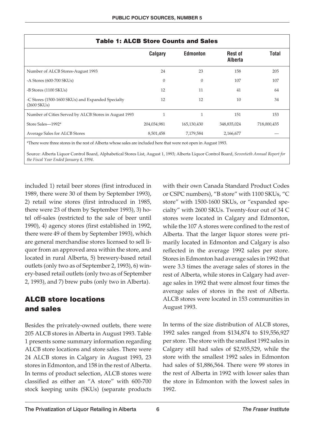| Calgary     | <b>Edmonton</b> | <b>Rest of</b><br>Alberta | <b>Total</b>                                |
|-------------|-----------------|---------------------------|---------------------------------------------|
| 24          | 23              | 158                       | 205                                         |
| $\theta$    | $\theta$        | 107                       | 107                                         |
| 12          | 11              | 41                        | 64                                          |
| 12          | 12              | 10                        | 34                                          |
|             |                 | 151                       | 153                                         |
| 204,034,981 | 165,130,430     | 348,835,024               | 718,000,435                                 |
| 8,501,458   | 7,179,584       | 2,166,677                 |                                             |
|             |                 |                           | <b>Table 1: ALCB Store Counts and Sales</b> |

\*There were three stores in the rest of Alberta whose sales are included here that were not open in August 1993.

Source: Alberta Liquor Control Board, Alphabetical Stores List, August 1, 1993; Alberta Liquor Control Board, *Seventieth Annual Report for the Fiscal Year Ended January 4, 1994*.

included 1) retail beer stores (first introduced in 1989, there were 30 of them by September 1993), 2) retail wine stores (first introduced in 1985, there were 23 of them by September 1993), 3) hotel off-sales (restricted to the sale of beer until 1990), 4) agency stores (first established in 1992, there were 49 of them by September 1993), which are general merchandise stores licensed to sell liquor from an approved area within the store, and located in rural Alberta, 5) brewery-based retail outlets (only two as of September 2, 1993), 6) winery-based retail outlets (only two as of September 2, 1993), and 7) brew pubs (only two in Alberta).

# **ALCB store locations and sales**

Besides the privately-owned outlets, there were 205 ALCB stores in Alberta in August 1993. Table 1 presents some summary information regarding ALCB store locations and store sales. There were 24 ALCB stores in Calgary in August 1993, 23 stores in Edmonton, and 158 in the rest of Alberta. In terms of product selection, ALCB stores were classified as either an "A store" with 600-700 stock keeping units (SKUs) (separate products

with their own Canada Standard Product Codes or CSPC numbers), "B store" with 1100 SKUs, "C store" with 1500-1600 SKUs, or "expanded specialty" with 2600 SKUs. Twenty-four out of 34 C stores were located in Calgary and Edmonton, while the 107 A stores were confined to the rest of Alberta. That the larger liquor stores were primarily located in Edmonton and Calgary is also reflected in the average 1992 sales per store. Stores in Edmonton had average sales in 1992 that were 3.3 times the average sales of stores in the rest of Alberta, while stores in Calgary had average sales in 1992 that were almost four times the average sales of stores in the rest of Alberta. ALCB stores were located in 153 communities in August 1993.

In terms of the size distribution of ALCB stores, 1992 sales ranged from \$134,874 to \$19,556,927 per store. The store with the smallest 1992 sales in Calgary still had sales of \$2,935,529, while the store with the smallest 1992 sales in Edmonton had sales of \$1,886,564. There were 99 stores in the rest of Alberta in 1992 with lower sales than the store in Edmonton with the lowest sales in 1992.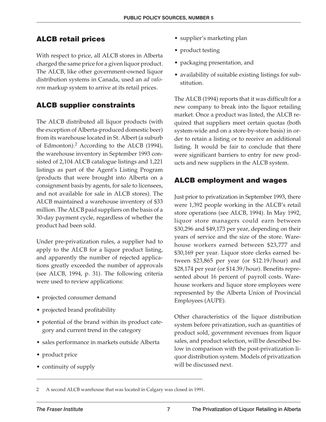#### **ALCB retail prices**

With respect to price, all ALCB stores in Alberta charged the same price for a given liquor product. The ALCB, like other government-owned liquor distribution systems in Canada, used an *ad valorem* markup system to arrive at its retail prices.

#### **ALCB supplier constraints**

The ALCB distributed all liquor products (with the exception of Alberta-produced domestic beer) from its warehouse located in St. Albert (a suburb of Edmonton).<sup>2</sup> According to the ALCB (1994), the warehouse inventory in September 1993 consisted of 2,104 ALCB catalogue listings and 1,221 listings as part of the Agent's Listing Program (products that were brought into Alberta on a consignment basis by agents, for sale to licensees, and not available for sale in ALCB stores). The ALCB maintained a warehouse inventory of \$33 million. The ALCB paid suppliers on the basis of a 30-day payment cycle, regardless of whether the product had been sold.

Under pre-privatization rules, a supplier had to apply to the ALCB for a liquor product listing, and apparently the number of rejected applications greatly exceeded the number of approvals (see ALCB, 1994, p. 31). The following criteria were used to review applications:

- projected consumer demand
- projected brand profitability
- potential of the brand within its product category and current trend in the category
- sales performance in markets outside Alberta
- product price
- continuity of supply
- supplier's marketing plan
- product testing
- packaging presentation, and
- availability of suitable existing listings for substitution.

The ALCB (1994) reports that it was difficult for a new company to break into the liquor retailing market. Once a product was listed, the ALCB required that suppliers meet certain quotas (both system-wide and on a store-by-store basis) in order to retain a listing or to receive an additional listing. It would be fair to conclude that there were significant barriers to entry for new products and new suppliers in the ALCB system.

# **ALCB employment and wages**

Just prior to privatization in September 1993, there were 1,392 people working in the ALCB's retail store operations (see ALCB, 1994). In May 1992, liquor store managers could earn between \$30,296 and \$49,173 per year, depending on their years of service and the size of the store. Warehouse workers earned between \$23,777 and \$30,169 per year. Liquor store clerks earned between \$23,865 per year (or \$12.19/hour) and \$28,174 per year (or \$14.39/hour). Benefits represented about 16 percent of payroll costs. Warehouse workers and liquor store employees were represented by the Alberta Union of Provincial Employees (AUPE).

Other characteristics of the liquor distribution system before privatization, such as quantities of product sold, government revenues from liquor sales, and product selection, will be described below in comparison with the post-privatization liquor distribution system. Models of privatization will be discussed next.

2 A second ALCB warehouse that was located in Calgary was closed in 1991.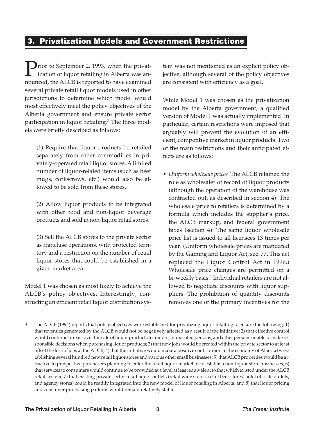# **3. Privatization Models and Government Restrictions**

**Prior to September 2, 1993, when the privat**ization of liquor retailing in Alberta was announced, the ALCB is reported to have examined several private retail liquor models used in other jurisdictions to determine which model would most effectively meet the policy objectives of the Alberta government and ensure private sector participation in liquor retailing. $3$  The three models were briefly described as follows:

(1) Require that liquor products be retailed separately from other commodities in privately-operated retail liquor stores. A limited number of liquor-related items (such as beer mugs, corkscrews, etc.) would also be allowed to be sold from these stores.

(2) Allow liquor products to be integrated with other food and non-liquor beverage products and sold in non-liquor retail stores.

(3) Sell the ALCB stores to the private sector as franchise operations, with protected territory and a restriction on the number of retail liquor stores that could be established in a given market area.

Model 1 was chosen as most likely to achieve the ALCB's policy objectives. Interestingly, constructing an efficient retail liquor distribution sys-

tem was not mentioned as an explicit policy objective, although several of the policy objectives are consistent with efficiency as a goal.

While Model 1 was chosen as the privatization model by the Alberta government, a qualified version of Model 1 was actually implemented. In particular, certain restrictions were imposed that arguably will prevent the evolution of an efficient, competitive market in liquor products. Two of the main restrictions and their anticipated effects are as follows:

• *Uniform wholesale prices* The ALCB retained the role as wholesaler of record of liquor products (although the operation of the warehouse was contracted out, as described in section 4). The wholesale price to retailers is determined by a formula which includes the supplier's price, the ALCB markup, and federal government taxes (section 4). The same liquor wholesale price list is issued to all licensees 13 times per year. (Uniform wholesale prices are mandated by the Gaming and Liquor Act, sec. 77. This act replaced the Liquor Control Act in 1996.) Wholesale price changes are permitted on a bi-weekly basis.<sup>4</sup> Individual retailers are not allowed to negotiate discounts with liquor suppliers. The prohibition of quantity discounts removes one of the primary incentives for the

<sup>3</sup> The ALCB (1994) reports that policy objectives were established for privatizing liquor retailing to ensure the following: 1) that revenues generated by the ALCB would not be negatively affected as a result of the initiative; 2) that effective control would continue to exist over the sale of liquor products to minors, intoxicated persons, and other persons unable to make responsible decisions when purchasing liquor products; 3) that new jobs would be created within the private sector to at least offset the loss of jobs at the ALCB; 4) that the initiative would make a positive contribution to the economy of Alberta by establishing several hundred new retail liquor stores and various other small businesses; 5) that ALCB properties would be attractive to prospective purchasers planning to enter the retail liquor market or to establish non-liquor store businesses; 6) that services to consumers would continue to be provided at a level at least equivalent to that which existed under the ALCB retail system; 7) that existing private sector retail liquor outlets (retail wine stores, retail beer stores, hotel off-sale outlets, and agency stores) could be readily integrated into the new model of liquor retailing in Alberta; and 8) that liquor pricing and consumer purchasing patterns would remain relatively stable.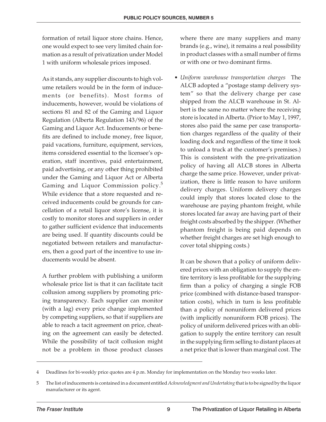formation of retail liquor store chains. Hence, one would expect to see very limited chain formation as a result of privatization under Model 1 with uniform wholesale prices imposed.

As it stands, any supplier discounts to high volume retailers would be in the form of inducements (or benefits). Most forms of inducements, however, would be violations of sections 81 and 82 of the Gaming and Liquor Regulation (Alberta Regulation 143/96) of the Gaming and Liquor Act. Inducements or benefits are defined to include money, free liquor, paid vacations, furniture, equipment, services, items considered essential to the licensee's operation, staff incentives, paid entertainment, paid advertising, or any other thing prohibited under the Gaming and Liquor Act or Alberta Gaming and Liquor Commission policy.<sup>5</sup> While evidence that a store requested and received inducements could be grounds for cancellation of a retail liquor store's license, it is costly to monitor stores and suppliers in order to gather sufficient evidence that inducements are being used. If quantity discounts could be negotiated between retailers and manufacturers, then a good part of the incentive to use inducements would be absent.

A further problem with publishing a uniform wholesale price list is that it can facilitate tacit collusion among suppliers by promoting pricing transparency. Each supplier can monitor (with a lag) every price change implemented by competing suppliers, so that if suppliers are able to reach a tacit agreement on price, cheating on the agreement can easily be detected. While the possibility of tacit collusion might not be a problem in those product classes

where there are many suppliers and many brands (e.g., wine), it remains a real possibility in product classes with a small number of firms or with one or two dominant firms.

• *Uniform warehouse transportation charges* The ALCB adopted a "postage stamp delivery system" so that the delivery charge per case shipped from the ALCB warehouse in St. Albert is the same no matter where the receiving store is located in Alberta. (Prior to May 1, 1997, stores also paid the same per case transportation charges regardless of the quality of their loading dock and regardless of the time it took to unload a truck at the customer's premises.) This is consistent with the pre-privatization policy of having all ALCB stores in Alberta charge the same price. However, under privatization, there is little reason to have uniform delivery charges. Uniform delivery charges could imply that stores located close to the warehouse are paying phantom freight, while stores located far away are having part of their freight costs absorbed by the shipper. (Whether phantom freight is being paid depends on whether freight charges are set high enough to cover total shipping costs.)

It can be shown that a policy of uniform delivered prices with an obligation to supply the entire territory is less profitable for the supplying firm than a policy of charging a single FOB price (combined with distance-based transportation costs), which in turn is less profitable than a policy of nonuniform delivered prices (with implicitly nonuniform FOB prices). The policy of uniform delivered prices with an obligation to supply the entire territory can result in the supplying firm selling to distant places at a net price that is lower than marginal cost. The

<sup>4</sup> Deadlines for bi-weekly price quotes are 4 p.m. Monday for implementation on the Monday two weeks later.

<sup>5</sup> The list of inducements is contained in a document entitled *Acknowledgment and Undertaking* that is to be signed by the liquor manufacturer or its agent.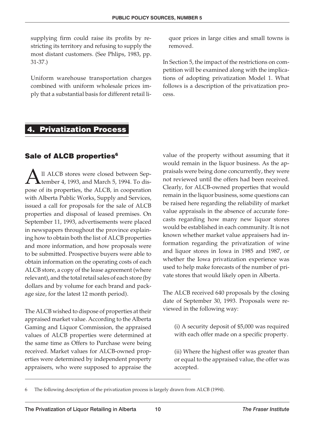supplying firm could raise its profits by restricting its territory and refusing to supply the most distant customers. (See Phlips, 1983, pp. 31-37.)

Uniform warehouse transportation charges combined with uniform wholesale prices imply that a substantial basis for different retail liquor prices in large cities and small towns is removed.

In Section 5, the impact of the restrictions on competition will be examined along with the implications of adopting privatization Model 1. What follows is a description of the privatization process.

# **4. Privatization Process**

#### **Sale of ALCB properties<sup>6</sup>**

 $\mathbf{A}$ ll ALCB stores were closed between September 4, 1993, and March 5, 1994. To dispense of its proportion that ALCB in cooperation tember 4, 1993, and March 5, 1994. To dispose of its properties, the ALCB, in cooperation with Alberta Public Works, Supply and Services, issued a call for proposals for the sale of ALCB properties and disposal of leased premises. On September 11, 1993, advertisements were placed in newspapers throughout the province explaining how to obtain both the list of ALCB properties and more information, and how proposals were to be submitted. Prospective buyers were able to obtain information on the operating costs of each ALCB store, a copy of the lease agreement (where relevant), and the total retail sales of each store (by dollars and by volume for each brand and package size, for the latest 12 month period).

The ALCB wished to dispose of properties at their appraised market value. According to the Alberta Gaming and Liquor Commission, the appraised values of ALCB properties were determined at the same time as Offers to Purchase were being received. Market values for ALCB-owned properties were determined by independent property appraisers, who were supposed to appraise the value of the property without assuming that it would remain in the liquor business. As the appraisals were being done concurrently, they were not reviewed until the offers had been received. Clearly, for ALCB-owned properties that would remain in the liquor business, some questions can be raised here regarding the reliability of market value appraisals in the absence of accurate forecasts regarding how many new liquor stores would be established in each community. It is not known whether market value appraisers had information regarding the privatization of wine and liquor stores in Iowa in 1985 and 1987, or whether the Iowa privatization experience was used to help make forecasts of the number of private stores that would likely open in Alberta.

The ALCB received 640 proposals by the closing date of September 30, 1993. Proposals were reviewed in the following way:

(i) A security deposit of \$5,000 was required with each offer made on a specific property.

(ii) Where the highest offer was greater than or equal to the appraised value, the offer was accepted.

<sup>6</sup> The following description of the privatization process is largely drawn from ALCB (1994).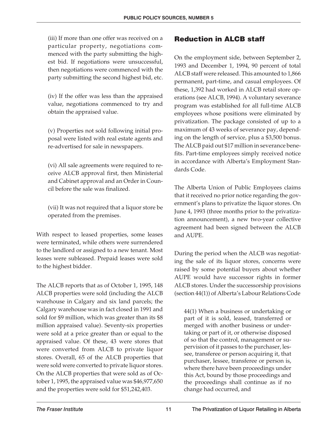(iii) If more than one offer was received on a particular property, negotiations commenced with the party submitting the highest bid. If negotiations were unsuccessful, then negotiations were commenced with the party submitting the second highest bid, etc.

(iv) If the offer was less than the appraised value, negotiations commenced to try and obtain the appraised value.

(v) Properties not sold following initial proposal were listed with real estate agents and re-advertised for sale in newspapers.

(vi) All sale agreements were required to receive ALCB approval first, then Ministerial and Cabinet approval and an Order in Council before the sale was finalized.

(vii) It was not required that a liquor store be operated from the premises.

With respect to leased properties, some leases were terminated, while others were surrendered to the landlord or assigned to a new tenant. Most leases were subleased. Prepaid leases were sold to the highest bidder.

The ALCB reports that as of October 1, 1995, 148 ALCB properties were sold (including the ALCB warehouse in Calgary and six land parcels; the Calgary warehouse was in fact closed in 1991 and sold for \$9 million, which was greater than its \$8 million appraised value). Seventy-six properties were sold at a price greater than or equal to the appraised value. Of these, 43 were stores that were converted from ALCB to private liquor stores. Overall, 65 of the ALCB properties that were sold were converted to private liquor stores. On the ALCB properties that were sold as of October 1, 1995, the appraised value was \$46,977,650 and the properties were sold for \$51,242,403.

# **Reduction in ALCB staff**

On the employment side, between September 2, 1993 and December 1, 1994, 90 percent of total ALCB staff were released. This amounted to 1,866 permanent, part-time, and casual employees. Of these, 1,392 had worked in ALCB retail store operations (see ALCB, 1994). A voluntary severance program was established for all full-time ALCB employees whose positions were eliminated by privatization. The package consisted of up to a maximum of 43 weeks of severance pay, depending on the length of service, plus a \$3,500 bonus. The ALCB paid out \$17 million in severance benefits. Part-time employees simply received notice in accordance with Alberta's Employment Standards Code.

The Alberta Union of Public Employees claims that it received no prior notice regarding the government's plans to privatize the liquor stores. On June 4, 1993 (three months prior to the privatization announcement), a new two-year collective agreement had been signed between the ALCB and AUPE.

During the period when the ALCB was negotiating the sale of its liquor stores, concerns were raised by some potential buyers about whether AUPE would have successor rights in former ALCB stores. Under the successorship provisions (section 44(1)) of Alberta's Labour Relations Code

44(1) When a business or undertaking or part of it is sold, leased, transferred or merged with another business or undertaking or part of it, or otherwise disposed of so that the control, management or supervision of it passes to the purchaser, lessee, transferee or person acquiring it, that purchaser, lessee, transferee or person is, where there have been proceedings under this Act, bound by those proceedings and the proceedings shall continue as if no change had occurred, and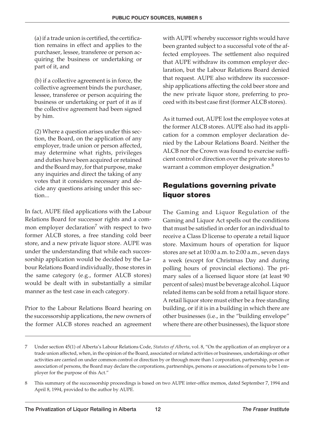(a) if a trade union is certified, the certification remains in effect and applies to the purchaser, lessee, transferee or person acquiring the business or undertaking or part of it, and

(b) if a collective agreement is in force, the collective agreement binds the purchaser, lessee, transferee or person acquiring the business or undertaking or part of it as if the collective agreement had been signed by him.

(2) Where a question arises under this section, the Board, on the application of any employer, trade union or person affected, may determine what rights, privileges and duties have been acquired or retained and the Board may, for that purpose, make any inquiries and direct the taking of any votes that it considers necessary and decide any questions arising under this section...

In fact, AUPE filed applications with the Labour Relations Board for successor rights and a common employer declaration<sup>7</sup> with respect to two former ALCB stores, a free standing cold beer store, and a new private liquor store. AUPE was under the understanding that while each successorship application would be decided by the Labour Relations Board individually, those stores in the same category (e.g., former ALCB stores) would be dealt with in substantially a similar manner as the test case in each category.

Prior to the Labour Relations Board hearing on the successorship applications, the new owners of the former ALCB stores reached an agreement with AUPE whereby successor rights would have been granted subject to a successful vote of the affected employees. The settlement also required that AUPE withdraw its common employer declaration, but the Labour Relations Board denied that request. AUPE also withdrew its successorship applications affecting the cold beer store and the new private liquor store, preferring to proceed with its best case first (former ALCB stores).

As it turned out, AUPE lost the employee votes at the former ALCB stores. AUPE also had its application for a common employer declaration denied by the Labour Relations Board. Neither the ALCB nor the Crown was found to exercise sufficient control or direction over the private stores to warrant a common employer designation.<sup>8</sup>

# **Regulations governing private liquor stores**

The Gaming and Liquor Regulation of the Gaming and Liquor Act spells out the conditions that must be satisfied in order for an individual to receive a Class D license to operate a retail liquor store. Maximum hours of operation for liquor stores are set at 10:00 a.m. to 2:00 a.m., seven days a week (except for Christmas Day and during polling hours of provincial elections). The primary sales of a licensed liquor store (at least 90 percent of sales) must be beverage alcohol. Liquor related items can be sold from a retail liquor store. A retail liquor store must either be a free standing building, or if it is in a building in which there are other businesses (i.e., in the "building envelope" where there are other businesses), the liquor store

<sup>7</sup> Under section 45(1) of Alberta's Labour Relations Code, *Statutes of Alberta*, vol. 8, "On the application of an employer or a trade union affected, when, in the opinion of the Board, associated or related activities or businesses, undertakings or other activities are carried on under common control or direction by or through more than 1 corporation, partnership, person or association of persons, the Board may declare the corporations, partnerships, persons or associations of persons to be 1 employer for the purpose of this Act."

<sup>8</sup> This summary of the successorship proceedings is based on two AUPE inter-office memos, dated September 7, 1994 and April 8, 1994, provided to the author by AUPE.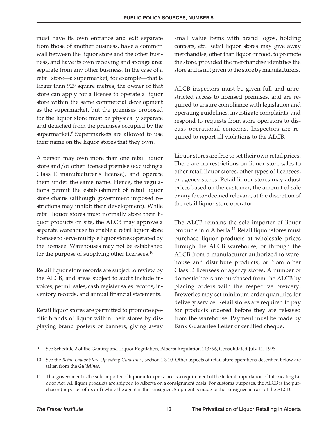must have its own entrance and exit separate from those of another business, have a common wall between the liquor store and the other business, and have its own receiving and storage area separate from any other business. In the case of a retail store—a supermarket, for example—that is larger than 929 square metres, the owner of that store can apply for a license to operate a liquor store within the same commercial development as the supermarket, but the premises proposed for the liquor store must be physically separate and detached from the premises occupied by the supermarket.<sup>9</sup> Supermarkets are allowed to use their name on the liquor stores that they own.

A person may own more than one retail liquor store and/or other licensed premise (excluding a Class E manufacturer's license), and operate them under the same name. Hence, the regulations permit the establishment of retail liquor store chains (although government imposed restrictions may inhibit their development). While retail liquor stores must normally store their liquor products on site, the ALCB may approve a separate warehouse to enable a retail liquor store licensee to serve multiple liquor stores operated by the licensee. Warehouses may not be established for the purpose of supplying other licensees.<sup>10</sup>

Retail liquor store records are subject to review by the ALCB, and areas subject to audit include invoices, permit sales, cash register sales records, inventory records, and annual financial statements.

Retail liquor stores are permitted to promote specific brands of liquor within their stores by displaying brand posters or banners, giving away small value items with brand logos, holding contests, etc. Retail liquor stores may give away merchandise, other than liquor or food, to promote the store, provided the merchandise identifies the store and is not given to the store by manufacturers.

ALCB inspectors must be given full and unrestricted access to licensed premises, and are required to ensure compliance with legislation and operating guidelines, investigate complaints, and respond to requests from store operators to discuss operational concerns. Inspectors are required to report all violations to the ALCB.

Liquor stores are free to set their own retail prices. There are no restrictions on liquor store sales to other retail liquor stores, other types of licensees, or agency stores. Retail liquor stores may adjust prices based on the customer, the amount of sale or any factor deemed relevant, at the discretion of the retail liquor store operator.

The ALCB remains the sole importer of liquor products into Alberta.<sup>11</sup> Retail liquor stores must purchase liquor products at wholesale prices through the ALCB warehouse, or through the ALCB from a manufacturer authorized to warehouse and distribute products, or from other Class D licensees or agency stores. A number of domestic beers are purchased from the ALCB by placing orders with the respective brewery. Breweries may set minimum order quantities for delivery service. Retail stores are required to pay for products ordered before they are released from the warehouse. Payment must be made by Bank Guarantee Letter or certified cheque.

<sup>9</sup> See Schedule 2 of the Gaming and Liquor Regulation, Alberta Regulation 143/96, Consolidated July 11, 1996.

<sup>10</sup> See the *Retail Liquor Store Operating Guidelines*, section 1.3.10. Other aspects of retail store operations described below are taken from the *Guidelines*.

<sup>11</sup> That government is the sole importer of liquor into a province is a requirement of the federal Importation of Intoxicating Liquor Act. All liquor products are shipped to Alberta on a consignment basis. For customs purposes, the ALCB is the purchaser (importer of record) while the agent is the consignee. Shipment is made to the consignee in care of the ALCB.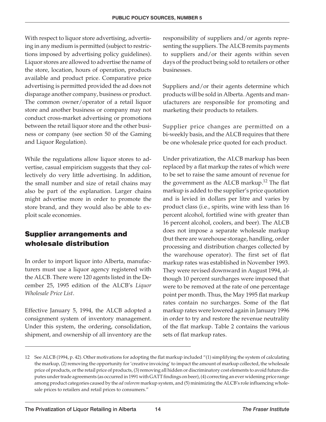With respect to liquor store advertising, advertising in any medium is permitted (subject to restrictions imposed by advertising policy guidelines). Liquor stores are allowed to advertise the name of the store, location, hours of operation, products available and product price. Comparative price advertising is permitted provided the ad does not disparage another company, business or product. The common owner/operator of a retail liquor store and another business or company may not conduct cross-market advertising or promotions between the retail liquor store and the other business or company (see section 50 of the Gaming and Liquor Regulation).

While the regulations allow liquor stores to advertise, casual empiricism suggests that they collectively do very little advertising. In addition, the small number and size of retail chains may also be part of the explanation. Larger chains might advertise more in order to promote the store brand, and they would also be able to exploit scale economies.

# **Supplier arrangements and wholesale distribution**

In order to import liquor into Alberta, manufacturers must use a liquor agency registered with the ALCB. There were 120 agents listed in the December 25, 1995 edition of the ALCB's *Liquor Wholesale Price List*.

Effective January 5, 1994, the ALCB adopted a consignment system of inventory management. Under this system, the ordering, consolidation, shipment, and ownership of all inventory are the

responsibility of suppliers and/or agents representing the suppliers. The ALCB remits payments to suppliers and/or their agents within seven days of the product being sold to retailers or other businesses.

Suppliers and/or their agents determine which products will be sold in Alberta. Agents and manufacturers are responsible for promoting and marketing their products to retailers.

Supplier price changes are permitted on a bi-weekly basis, and the ALCB requires that there be one wholesale price quoted for each product.

Under privatization, the ALCB markup has been replaced by a flat markup the rates of which were to be set to raise the same amount of revenue for the government as the ALCB markup.<sup>12</sup> The flat markup is added to the supplier's price quotation and is levied in dollars per litre and varies by product class (i.e., spirits, wine with less than 16 percent alcohol, fortified wine with greater than 16 percent alcohol, coolers, and beer). The ALCB does not impose a separate wholesale markup (but there are warehouse storage, handling, order processing and distribution charges collected by the warehouse operator). The first set of flat markup rates was established in November 1993. They were revised downward in August 1994, although 10 percent surcharges were imposed that were to be removed at the rate of one percentage point per month. Thus, the May 1995 flat markup rates contain no surcharges. Some of the flat markup rates were lowered again in January 1996 in order to try and restore the revenue neutrality of the flat markup. Table 2 contains the various sets of flat markup rates.

<sup>12</sup> See ALCB (1994, p. 42). Other motivations for adopting the flat markup included "(1) simplifying the system of calculating the markup, (2) removing the opportunity for 'creative invoicing' to impact the amount of markup collected, the wholesale price of products, or the retail price of products, (3) removing all hidden or discriminatory cost elements to avoid future disputes under trade agreements (as occurred in 1991 with GATT findings on beer), (4) correcting an ever widening price range among product categories caused by the *ad valorem* markup system, and (5) minimizing the ALCB's role influencing wholesale prices to retailers and retail prices to consumers."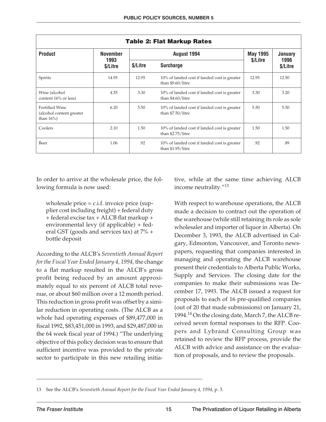|                                                              |                  |          | <b>Table 2: Flat Markup Rates</b>                                 |                 |                  |
|--------------------------------------------------------------|------------------|----------|-------------------------------------------------------------------|-----------------|------------------|
| <b>Product</b>                                               | <b>November</b>  |          | August 1994                                                       | <b>May 1995</b> | January          |
|                                                              | 1993<br>\$/Litre | \$/Litre | <b>Surcharge</b>                                                  | \$/Litre        | 1996<br>\$/Litre |
| Spirits                                                      | 14.95            | 12.95    | 10% of landed cost if landed cost is greater<br>than \$9.60/litre | 12.95           | 12.50            |
| Wine (alcohol<br>content 16% or less)                        | 4.35             | 3.30     | 10% of landed cost if landed cost is greater<br>than \$4.60/litre | 3.30            | 3.20             |
| Fortified Wine<br>(alcohol content greater)<br>than $16\%$ ) | 6.20             | 5.50     | 10% of landed cost if landed cost is greater<br>than \$7.50/litre | 5.50            | 5.50             |
| Coolers                                                      | 2.10             | 1.50     | 10% of landed cost if landed cost is greater<br>than \$2.75/litre | 1.50            | 1.50             |
| Beer                                                         | 1.06             | .92      | 10% of landed cost if landed cost is greater<br>than \$1.95/litre | .92             | .89              |

In order to arrive at the wholesale price, the following formula is now used:

wholesale price  $= c.i.f.$  invoice price (supplier cost including freight) + federal duty + federal excise tax + ALCB flat markup + environmental levy (if applicable) + federal GST (goods and services tax) at 7% + bottle deposit

According to the ALCB's *Seventieth Annual Report for the Fiscal Year Ended January 4, 1994*, the change to a flat markup resulted in the ALCB's gross profit being reduced by an amount approximately equal to six percent of ALCB total revenue, or about \$60 million over a 12 month period. This reduction in gross profit was offset by a similar reduction in operating costs. (The ALCB as a whole had operating expenses of \$89,477,000 in fiscal 1992, \$83,451,000 in 1993, and \$29,487,000 in the 64 week fiscal year of 1994.) "The underlying objective of this policy decision was to ensure that sufficient incentive was provided to the private sector to participate in this new retailing initiative, while at the same time achieving ALCB income neutrality."<sup>13</sup>

With respect to warehouse operations, the ALCB made a decision to contract out the operation of the warehouse (while still retaining its role as sole wholesaler and importer of liquor in Alberta). On December 3, 1993, the ALCB advertised in Calgary, Edmonton, Vancouver, and Toronto newspapers, requesting that companies interested in managing and operating the ALCB warehouse present their credentials to Alberta Public Works, Supply and Services. The closing date for the companies to make their submissions was December 17, 1993. The ALCB issued a request for proposals to each of 16 pre-qualified companies (out of 20 that made submissions) on January 21, 1994.<sup>14</sup> On the closing date, March 7, the ALCB received seven formal responses to the RFP. Coopers and Lybrand Consulting Group was retained to review the RFP process, provide the ALCB with advice and assistance on the evaluation of proposals, and to review the proposals.

<sup>13</sup> See the ALCB's *Seventieth Annual Report for the Fiscal Year Ended January 4, 1994*, p. 3.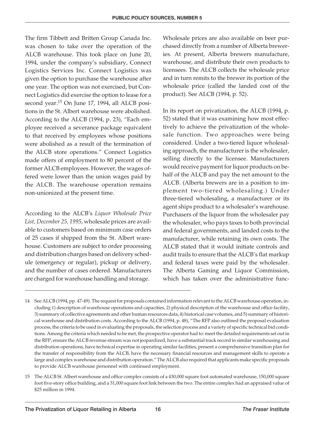The firm Tibbett and Britten Group Canada Inc. was chosen to take over the operation of the ALCB warehouse. This took place on June 20, 1994, under the company's subsidiary, Connect Logistics Services Inc. Connect Logistics was given the option to purchase the warehouse after one year. The option was not exercised, but Connect Logistics did exercise the option to lease for a second year.<sup>15</sup> On June 17, 1994, all ALCB positions in the St. Albert warehouse were abolished. According to the ALCB (1994, p. 23), "Each employee received a severance package equivalent to that received by employees whose positions were abolished as a result of the termination of the ALCB store operations." Connect Logistics made offers of employment to 80 percent of the former ALCB employees. However, the wages offered were lower than the union wages paid by the ALCB. The warehouse operation remains non-unionized at the present time.

According to the ALCB's *Liquor Wholesale Price List, December 25, 1995*, wholesale prices are available to customers based on minimum case orders of 25 cases if shipped from the St. Albert warehouse. Customers are subject to order processing and distribution charges based on delivery schedule (emergency or regular), pickup or delivery, and the number of cases ordered. Manufacturers are charged for warehouse handling and storage.

Wholesale prices are also available on beer purchased directly from a number of Alberta breweries. At present, Alberta brewers manufacture, warehouse, and distribute their own products to licensees. The ALCB collects the wholesale price and in turn remits to the brewer its portion of the wholesale price (called the landed cost of the product). See ALCB (1994, p. 52).

In its report on privatization, the ALCB (1994, p. 52) stated that it was examining how most effectively to achieve the privatization of the wholesale function. Two approaches were being considered. Under a two-tiered liquor wholesaling approach, the manufacturer is the wholesaler, selling directly to the licensee. Manufacturers would receive payment for liquor products on behalf of the ALCB and pay the net amount to the ALCB. (Alberta brewers are in a position to implement two-tiered wholesaling.) Under three-tiered wholesaling, a manufacturer or its agent ships product to a wholesaler's warehouse. Purchasers of the liquor from the wholesaler pay the wholesaler, who pays taxes to both provincial and federal governments, and landed costs to the manufacturer, while retaining its own costs. The ALCB stated that it would initiate controls and audit trails to ensure that the ALCB's flat markup and federal taxes were paid by the wholesaler. The Alberta Gaming and Liquor Commission, which has taken over the administrative func-

<sup>14</sup> See ALCB (1994, pp. 47-49). The request for proposals contained information relevant to the ALCB warehouse operation, including 1) description of warehouse operations and capacities, 2) physical description of the warehouse and office facility, 3) summary of collective agreements and other human resources data, 4) historical case volumes, and 5) summary of historical warehouse and distribution costs. According to the ALCB (1994, p. 48), "The RFP also outlined the proposal evaluation process, the criteria to be used in evaluating the proposals, the selection process and a variety of specific technical bid conditions. Among the criteria which needed to be met, the prospective operator had to: meet the detailed requirements set out in the RFP, ensure the ALCB revenue stream was not jeopardized, have a substantial track record in similar warehousing and distribution operations, have technical expertise in operating similar facilities, present a comprehensive transition plan for the transfer of responsibility from the ALCB, have the necessary financial resources and management skills to operate a large and complex warehouse and distribution operation." The ALCB also required that applicants make specific proposals to provide ALCB warehouse personnel with continued employment.

<sup>15</sup> The ALCB St. Albert warehouse and office complex consists of a 430,000 square foot automated warehouse, 150,000 square foot five-story office building, and a 31,000 square foot link between the two. The entire complex had an appraised value of \$25 million in 1994.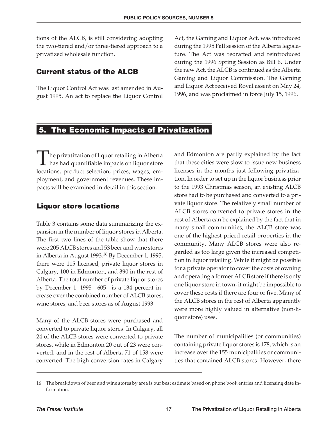tions of the ALCB, is still considering adopting the two-tiered and/or three-tiered approach to a privatized wholesale function.

#### **Current status of the ALCB**

The Liquor Control Act was last amended in August 1995. An act to replace the Liquor Control Act, the Gaming and Liquor Act, was introduced during the 1995 Fall session of the Alberta legislature. The Act was redrafted and reintroduced during the 1996 Spring Session as Bill 6. Under the new Act, the ALCB is continued as the Alberta Gaming and Liquor Commission. The Gaming and Liquor Act received Royal assent on May 24, 1996, and was proclaimed in force July 15, 1996.

# **5. The Economic Impacts of Privatization**

The privatization of liquor retailing in Alberta<br>has had quantifiable impacts on liquor store has had quantifiable impacts on liquor store locations, product selection, prices, wages, employment, and government revenues. These impacts will be examined in detail in this section.

#### **Liquor store locations**

Table 3 contains some data summarizing the expansion in the number of liquor stores in Alberta. The first two lines of the table show that there were 205 ALCB stores and 53 beer and wine stores in Alberta in August 1993.<sup>16</sup> By December 1, 1995, there were 115 licensed, private liquor stores in Calgary, 100 in Edmonton, and 390 in the rest of Alberta. The total number of private liquor stores by December 1, 1995—605—is a 134 percent increase over the combined number of ALCB stores, wine stores, and beer stores as of August 1993.

Many of the ALCB stores were purchased and converted to private liquor stores. In Calgary, all 24 of the ALCB stores were converted to private stores, while in Edmonton 20 out of 23 were converted, and in the rest of Alberta 71 of 158 were converted. The high conversion rates in Calgary and Edmonton are partly explained by the fact that these cities were slow to issue new business licenses in the months just following privatization. In order to set up in the liquor business prior to the 1993 Christmas season, an existing ALCB store had to be purchased and converted to a private liquor store. The relatively small number of ALCB stores converted to private stores in the rest of Alberta can be explained by the fact that in many small communities, the ALCB store was one of the highest priced retail properties in the community. Many ALCB stores were also regarded as too large given the increased competition in liquor retailing. While it might be possible for a private operator to cover the costs of owning and operating a former ALCB store if there is only one liquor store in town, it might be impossible to cover these costs if there are four or five. Many of the ALCB stores in the rest of Alberta apparently were more highly valued in alternative (non-liquor store) uses.

The number of municipalities (or communities) containing private liquor stores is 178, which is an increase over the 155 municipalities or communities that contained ALCB stores. However, there

<sup>16</sup> The breakdown of beer and wine stores by area is our best estimate based on phone book entries and licensing date information.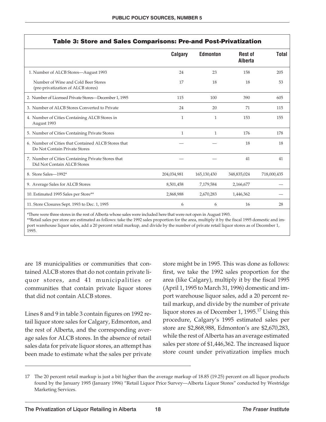| <b>Table 3: Store and Sales Comparisons: Pre-and Post-Privatization</b>              |              |                 |                                  |              |
|--------------------------------------------------------------------------------------|--------------|-----------------|----------------------------------|--------------|
|                                                                                      | Calgary      | <b>Edmonton</b> | <b>Rest of</b><br><b>Alberta</b> | <b>Total</b> |
| 1. Number of ALCB Stores—August 1993                                                 | 24           | 23              | 158                              | 205          |
| Number of Wine and Cold Beer Stores<br>(pre-privatization of ALCB stores)            | 17           | 18              | 18                               | 53           |
| 2. Number of Licensed Private Stores-December 1, 1995                                | 115          | 100             | 390                              | 605          |
| 3. Number of ALCB Stores Converted to Private                                        | 24           | 20              | 71                               | 115          |
| 4. Number of Cities Containing ALCB Stores in<br>August 1993                         | $\mathbf{1}$ | $\mathbf{1}$    | 153                              | 155          |
| 5. Number of Cities Containing Private Stores                                        | 1            | 1               | 176                              | 178          |
| 6. Number of Cities that Contained ALCB Stores that<br>Do Not Contain Private Stores |              |                 | 18                               | 18           |
| 7. Number of Cities Containing Private Stores that<br>Did Not Contain ALCB Stores    |              |                 | 41                               | 41           |
| 8. Store Sales-1992*                                                                 | 204,034,981  | 165,130,430     | 348,835,024                      | 718,000,435  |
| 9. Average Sales for ALCB Stores                                                     | 8,501,458    | 7,179,584       | 2,166,677                        |              |
| 10. Estimated 1995 Sales per Store**                                                 | 2,868,988    | 2,670,283       | 1,446,362                        |              |
| 11. Store Closures Sept. 1993 to Dec. 1, 1995                                        | 6            | 6               | 16                               | 28           |

\*There were three stores in the rest of Alberta whose sales were included here that were not open in August 1993.

\*\*Retail sales per store are estimated as follows: take the 1992 sales proportion for the area, multiply it by the fiscal 1995 domestic and import warehouse liquor sales, add a 20 percent retail markup, and divide by the number of private retail liquor stores as of December 1, 1995.

are 18 municipalities or communities that contained ALCB stores that do not contain private liquor stores, and 41 municipalities or communities that contain private liquor stores that did not contain ALCB stores.

Lines 8 and 9 in table 3 contain figures on 1992 retail liquor store sales for Calgary, Edmonton, and the rest of Alberta, and the corresponding average sales for ALCB stores. In the absence of retail sales data for private liquor stores, an attempt has been made to estimate what the sales per private store might be in 1995. This was done as follows: first, we take the 1992 sales proportion for the area (like Calgary), multiply it by the fiscal 1995 (April 1, 1995 to March 31, 1996) domestic and import warehouse liquor sales, add a 20 percent retail markup, and divide by the number of private liquor stores as of December 1, 1995.<sup>17</sup> Using this procedure, Calgary's 1995 estimated sales per store are \$2,868,988, Edmonton's are \$2,670,283, while the rest of Alberta has an average estimated sales per store of \$1,446,362. The increased liquor store count under privatization implies much

<sup>17</sup> The 20 percent retail markup is just a bit higher than the average markup of 18.85 (19.25) percent on all liquor products found by the January 1995 (January 1996) "Retail Liquor Price Survey—Alberta Liquor Stores" conducted by Westridge Marketing Services.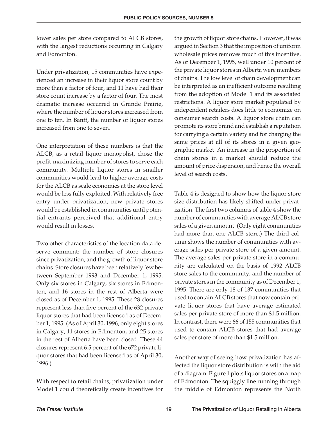lower sales per store compared to ALCB stores, with the largest reductions occurring in Calgary and Edmonton.

Under privatization, 15 communities have experienced an increase in their liquor store count by more than a factor of four, and 11 have had their store count increase by a factor of four. The most dramatic increase occurred in Grande Prairie, where the number of liquor stores increased from one to ten. In Banff, the number of liquor stores increased from one to seven.

One interpretation of these numbers is that the ALCB, as a retail liquor monopolist, chose the profit-maximizing number of stores to serve each community. Multiple liquor stores in smaller communities would lead to higher average costs for the ALCB as scale economies at the store level would be less fully exploited. With relatively free entry under privatization, new private stores would be established in communities until potential entrants perceived that additional entry would result in losses.

Two other characteristics of the location data deserve comment: the number of store closures since privatization, and the growth of liquor store chains. Store closures have been relatively few between September 1993 and December 1, 1995. Only six stores in Calgary, six stores in Edmonton, and 16 stores in the rest of Alberta were closed as of December 1, 1995. These 28 closures represent less than five percent of the 632 private liquor stores that had been licensed as of December 1, 1995. (As of April 30, 1996, only eight stores in Calgary, 11 stores in Edmonton, and 25 stores in the rest of Alberta have been closed. These 44 closures represent 6.5 percent of the 672 private liquor stores that had been licensed as of April 30, 1996.)

With respect to retail chains, privatization under Model 1 could theoretically create incentives for

the growth of liquor store chains. However, it was argued in Section 3 that the imposition of uniform wholesale prices removes much of this incentive. As of December 1, 1995, well under 10 percent of the private liquor stores in Alberta were members of chains. The low level of chain development can be interpreted as an inefficient outcome resulting from the adoption of Model 1 and its associated restrictions. A liquor store market populated by independent retailers does little to economize on consumer search costs. A liquor store chain can promote its store brand and establish a reputation for carrying a certain variety and for charging the same prices at all of its stores in a given geographic market. An increase in the proportion of chain stores in a market should reduce the amount of price dispersion, and hence the overall level of search costs.

Table 4 is designed to show how the liquor store size distribution has likely shifted under privatization. The first two columns of table 4 show the number of communities with average ALCB store sales of a given amount. (Only eight communities had more than one ALCB store.) The third column shows the number of communities with average sales per private store of a given amount. The average sales per private store in a community are calculated on the basis of 1992 ALCB store sales to the community, and the number of private stores in the community as of December 1, 1995. There are only 18 of 137 communities that used to contain ALCB stores that now contain private liquor stores that have average estimated sales per private store of more than \$1.5 million. In contrast, there were 66 of 155 communities that used to contain ALCB stores that had average sales per store of more than \$1.5 million.

Another way of seeing how privatization has affected the liquor store distribution is with the aid of a diagram. Figure 1 plots liquor stores on a map of Edmonton. The squiggly line running through the middle of Edmonton represents the North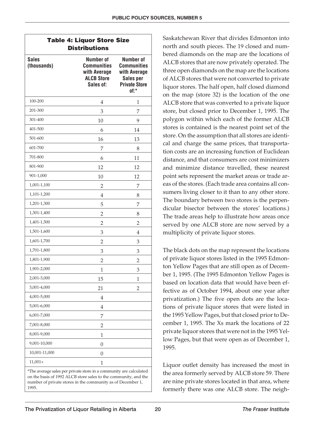| <b>Sales</b><br>(thousands) | Number of<br><b>Communities</b><br>with Average<br><b>ALCB Store</b><br>Sales of: | <b>Number of</b><br><b>Communities</b><br>with Average<br>Sales per<br><b>Private Store</b><br>of:* |
|-----------------------------|-----------------------------------------------------------------------------------|-----------------------------------------------------------------------------------------------------|
| 100-200                     | 4                                                                                 | 1                                                                                                   |
| 201-300                     | 3                                                                                 | 7                                                                                                   |
| 301-400                     | 10                                                                                | 9                                                                                                   |
| 401-500                     | 6                                                                                 | 14                                                                                                  |
| 501-600                     | 16                                                                                | 13                                                                                                  |
| 601-700                     | 7                                                                                 | 8                                                                                                   |
| 701-800                     | 6                                                                                 | 11                                                                                                  |
| 801-900                     | 12                                                                                | 12                                                                                                  |
| 901-1,000                   | 10                                                                                | 12                                                                                                  |
| 1,001-1,100                 | 2                                                                                 | 7                                                                                                   |
| 1,101-1,200                 | $\overline{4}$                                                                    | 8                                                                                                   |
| 1,201-1,300                 | 5                                                                                 | 7                                                                                                   |
| 1,301-1,400                 | 2                                                                                 | 8                                                                                                   |
| 1,401-1,500                 | 2                                                                                 | $\overline{2}$                                                                                      |
| 1,501-1,600                 | 3                                                                                 | 4                                                                                                   |
| 1,601-1,700                 | $\overline{2}$                                                                    | 3                                                                                                   |
| 1,701-1,800                 | 3                                                                                 | 3                                                                                                   |
| 1,801-1,900                 | $\overline{2}$                                                                    | $\overline{2}$                                                                                      |
| 1,901-2,000                 | 1                                                                                 | 3                                                                                                   |
| 2,001-3,000                 | 15                                                                                | 1                                                                                                   |
| 3,001-4,000                 | 21                                                                                | $\overline{2}$                                                                                      |
| 4,001-5,000                 | $\overline{4}$                                                                    |                                                                                                     |
| 5,001-6,000                 | $\overline{4}$                                                                    |                                                                                                     |
| 6,001-7,000                 | 7                                                                                 |                                                                                                     |
| 7,001-8,000                 | 2                                                                                 |                                                                                                     |
| 8,001-9,000                 | $\mathbf{1}$                                                                      |                                                                                                     |
| 9,001-10,000                | 0                                                                                 |                                                                                                     |
| 10,001-11,000               | 0                                                                                 |                                                                                                     |
| $11,001+$                   | 1                                                                                 |                                                                                                     |

on the basis of 1992 ALCB store sales to the community, and the number of private stores in the community as of December 1, 1995.

Saskatchewan River that divides Edmonton into north and south pieces. The 19 closed and numbered diamonds on the map are the locations of ALCB stores that are now privately operated. The three open diamonds on the map are the locations of ALCB stores that were not converted to private liquor stores. The half open, half closed diamond on the map (store 32) is the location of the one ALCB store that was converted to a private liquor store, but closed prior to December 1, 1995. The polygon within which each of the former ALCB stores is contained is the nearest point set of the store. On the assumption that all stores are identical and charge the same prices, that transportation costs are an increasing function of Euclidean distance, and that consumers are cost minimizers and minimize distance travelled, these nearest point sets represent the market areas or trade areas of the stores. (Each trade area contains all consumers living closer to it than to any other store. The boundary between two stores is the perpendicular bisector between the stores' locations.) The trade areas help to illustrate how areas once served by one ALCB store are now served by a multiplicity of private liquor stores.

The black dots on the map represent the locations of private liquor stores listed in the 1995 Edmonton Yellow Pages that are still open as of December 1, 1995. (The 1995 Edmonton Yellow Pages is based on location data that would have been effective as of October 1994, about one year after privatization.) The five open dots are the locations of private liquor stores that were listed in the 1995 Yellow Pages, but that closed prior to December 1, 1995. The Xs mark the locations of 22 private liquor stores that were not in the 1995 Yellow Pages, but that were open as of December 1, 1995.

Liquor outlet density has increased the most in the area formerly served by ALCB store 59. There are nine private stores located in that area, where formerly there was one ALCB store. The neigh-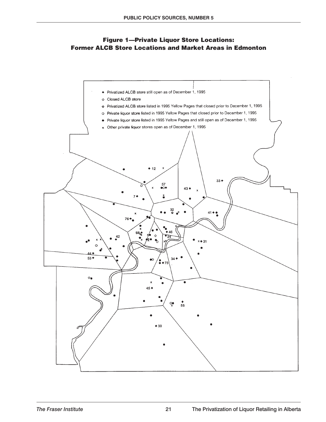#### **Figure 1—Private Liquor Store Locations: Former ALCB Store Locations and Market Areas in Edmonton**

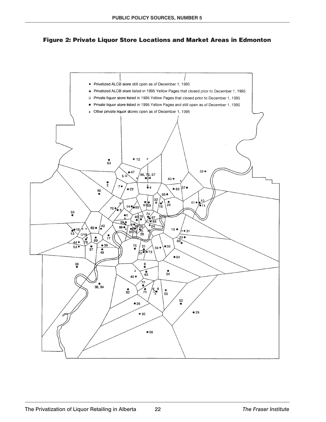

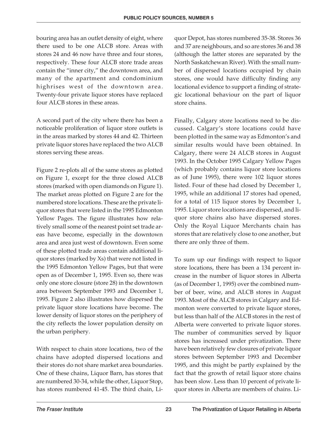bouring area has an outlet density of eight, where there used to be one ALCB store. Areas with stores 24 and 46 now have three and four stores, respectively. These four ALCB store trade areas contain the "inner city," the downtown area, and many of the apartment and condominium highrises west of the downtown area. Twenty-four private liquor stores have replaced four ALCB stores in these areas.

A second part of the city where there has been a noticeable proliferation of liquor store outlets is in the areas marked by stores 44 and 42. Thirteen private liquor stores have replaced the two ALCB stores serving these areas.

Figure 2 re-plots all of the same stores as plotted on Figure 1, except for the three closed ALCB stores (marked with open diamonds on Figure 1). The market areas plotted on Figure 2 are for the numbered store locations. These are the private liquor stores that were listed in the 1995 Edmonton Yellow Pages. The figure illustrates how relatively small some of the nearest point set trade areas have become, especially in the downtown area and area just west of downtown. Even some of these plotted trade areas contain additional liquor stores (marked by Xs) that were not listed in the 1995 Edmonton Yellow Pages, but that were open as of December 1, 1995. Even so, there was only one store closure (store 28) in the downtown area between September 1993 and December 1, 1995. Figure 2 also illustrates how dispersed the private liquor store locations have become. The lower density of liquor stores on the periphery of the city reflects the lower population density on the urban periphery.

With respect to chain store locations, two of the chains have adopted dispersed locations and their stores do not share market area boundaries. One of these chains, Liquor Barn, has stores that are numbered 30-34, while the other, Liquor Stop, has stores numbered 41-45. The third chain, Liquor Depot, has stores numbered 35-38. Stores 36 and 37 are neighbours, and so are stores 36 and 38 (although the latter stores are separated by the North Saskatchewan River). With the small number of dispersed locations occupied by chain stores, one would have difficulty finding any locational evidence to support a finding of strategic locational behaviour on the part of liquor store chains.

Finally, Calgary store locations need to be discussed. Calgary's store locations could have been plotted in the same way as Edmonton's and similar results would have been obtained. In Calgary, there were 24 ALCB stores in August 1993. In the October 1995 Calgary Yellow Pages (which probably contains liquor store locations as of June 1995), there were 102 liquor stores listed. Four of these had closed by December 1, 1995, while an additional 17 stores had opened, for a total of 115 liquor stores by December 1, 1995. Liquor store locations are dispersed, and liquor store chains also have dispersed stores. Only the Royal Liquor Merchants chain has stores that are relatively close to one another, but there are only three of them.

To sum up our findings with respect to liquor store locations, there has been a 134 percent increase in the number of liquor stores in Alberta (as of December 1, 1995) over the combined number of beer, wine, and ALCB stores in August 1993. Most of the ALCB stores in Calgary and Edmonton were converted to private liquor stores, but less than half of the ALCB stores in the rest of Alberta were converted to private liquor stores. The number of communities served by liquor stores has increased under privatization. There have been relatively few closures of private liquor stores between September 1993 and December 1995, and this might be partly explained by the fact that the growth of retail liquor store chains has been slow. Less than 10 percent of private liquor stores in Alberta are members of chains. Li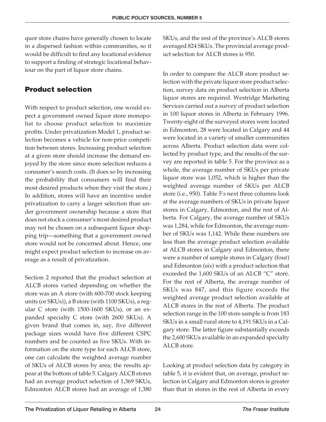quor store chains have generally chosen to locate in a dispersed fashion within communities, so it would be difficult to find any locational evidence to support a finding of strategic locational behaviour on the part of liquor store chains.

#### **Product selection**

With respect to product selection, one would expect a government owned liquor store monopolist to choose product selection to maximize profits. Under privatization Model 1, product selection becomes a vehicle for non-price competition between stores. Increasing product selection at a given store should increase the demand enjoyed by the store since more selection reduces a consumer's search costs. (It does so by increasing the probability that consumers will find their most desired products when they visit the store.) In addition, stores will have an incentive under privatization to carry a larger selection than under government ownership because a store that does not stock a consumer's most desired product may not be chosen on a subsequent liquor shopping trip—something that a government owned store would not be concerned about. Hence, one might expect product selection to increase on average as a result of privatization.

Section 2 reported that the product selection at ALCB stores varied depending on whether the store was an A store (with 600-700 stock keeping units (or SKUs)), a B store (with 1100 SKUs), a regular C store (with 1500-1600 SKUs), or an expanded specialty C store (with 2600 SKUs). A given brand that comes in, say, five different package sizes would have five different CSPC numbers and be counted as five SKUs. With information on the store type for each ALCB store, one can calculate the weighted average number of SKUs of ALCB stores by area; the results appear at the bottom of table 5. Calgary ALCB stores had an average product selection of 1,369 SKUs, Edmonton ALCB stores had an average of 1,380 SKUs, and the rest of the province's ALCB stores averaged 824 SKUs. The provincial average product selection for ALCB stores is 950.

In order to compare the ALCB store product selection with the private liquor store product selection, survey data on product selection in Alberta liquor stores are required. Westridge Marketing Services carried out a survey of product selection in 100 liquor stores in Alberta in February 1996. Twenty-eight of the surveyed stores were located in Edmonton, 28 were located in Calgary and 44 were located in a variety of smaller communities across Alberta. Product selection data were collected by product type, and the results of the survey are reported in table 5. For the province as a whole, the average number of SKUs per private liquor store was 1,052, which is higher than the weighted average number of SKUs per ALCB store (i.e., 950). Table 5's next three columns look at the average numbers of SKUs in private liquor stores in Calgary, Edmonton, and the rest of Alberta. For Calgary, the average number of SKUs was 1,284, while for Edmonton, the average number of SKUs was 1,142. While these numbers are less than the average product selection available at ALCB stores in Calgary and Edmonton, there were a number of sample stores in Calgary (four) and Edmonton (six) with a product selection that exceeded the 1,600 SKUs of an ALCB "C" store. For the rest of Alberta, the average number of SKUs was 847, and this figure exceeds the weighted average product selection available at ALCB stores in the rest of Alberta. The product selection range in the 100 store sample is from 183 SKUs in a small rural store to 4,191 SKUs in a Calgary store. The latter figure substantially exceeds the 2,600 SKUs available in an expanded specialty ALCB store.

Looking at product selection data by category in table 5, it is evident that, on average, product selection in Calgary and Edmonton stores is greater than that in stores in the rest of Alberta in every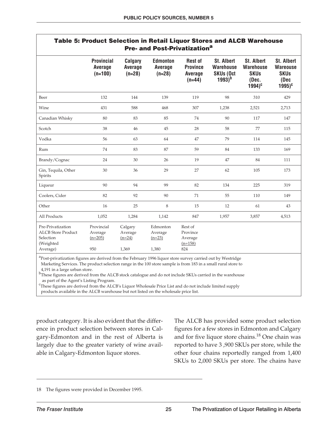|                                                                                      |                                                  |                                         | Pre- and Post-Privatization <sup>a</sup> |                                                                 | <b>Table 5: Product Selection in Retail Liquor Stores and ALCB Warehouse</b> |                                                                                      |                                                                            |
|--------------------------------------------------------------------------------------|--------------------------------------------------|-----------------------------------------|------------------------------------------|-----------------------------------------------------------------|------------------------------------------------------------------------------|--------------------------------------------------------------------------------------|----------------------------------------------------------------------------|
|                                                                                      | <b>Provincial</b><br><b>Average</b><br>$(n=100)$ | <b>Calgary</b><br>Average<br>$(n=28)$   | <b>Edmonton</b><br>Average<br>$(n=28)$   | <b>Rest of</b><br><b>Province</b><br><b>Average</b><br>$(n=44)$ | St. Albert<br><b>Warehouse</b><br><b>SKUs (Oct</b><br>$1993)^{b}$            | <b>St. Albert</b><br><b>Warehouse</b><br><b>SKUs</b><br>(Dec.<br>$1994$ <sup>c</sup> | <b>St. Albert</b><br><b>Wareouse</b><br><b>SKUs</b><br>(Dec<br>$1995)^{c}$ |
| Beer                                                                                 | 132                                              | 144                                     | 139                                      | 119                                                             | 98                                                                           | 310                                                                                  | 429                                                                        |
| Wine                                                                                 | 431                                              | 588                                     | 468                                      | 307                                                             | 1,238                                                                        | 2,521                                                                                | 2,713                                                                      |
| Canadian Whisky                                                                      | 80                                               | 83                                      | 85                                       | 74                                                              | 90                                                                           | 117                                                                                  | 147                                                                        |
| Scotch                                                                               | 38                                               | 46                                      | 45                                       | 28                                                              | 58                                                                           | 77                                                                                   | 115                                                                        |
| Vodka                                                                                | 56                                               | 63                                      | 64                                       | 47                                                              | 79                                                                           | 114                                                                                  | 145                                                                        |
| Rum                                                                                  | 74                                               | 83                                      | 87                                       | 59                                                              | 84                                                                           | 133                                                                                  | 169                                                                        |
| Brandy/Cognac                                                                        | 24                                               | 30                                      | 26                                       | 19                                                              | 47                                                                           | 84                                                                                   | 111                                                                        |
| Gin, Tequila, Other<br>Spirits                                                       | 30                                               | 36                                      | 29                                       | 27                                                              | 62                                                                           | 105                                                                                  | 173                                                                        |
| Liqueur                                                                              | 90                                               | 94                                      | 99                                       | 82                                                              | 134                                                                          | 225                                                                                  | 319                                                                        |
| Coolers, Cider                                                                       | 82                                               | 92                                      | 90                                       | 71                                                              | 55                                                                           | 110                                                                                  | 149                                                                        |
| Other                                                                                | 16                                               | 25                                      | 8                                        | 15                                                              | 12                                                                           | 61                                                                                   | 43                                                                         |
| All Products                                                                         | 1,052                                            | 1,284                                   | 1,142                                    | 847                                                             | 1,957                                                                        | 3,857                                                                                | 4,513                                                                      |
| Pre-Privatization<br><b>ALCB</b> Store Product<br>Selection<br>(Weighted<br>Average) | Provincial<br>Average<br>$(n=205)$<br>950        | Calgary<br>Average<br>$(n=24)$<br>1,369 | Edmonton<br>Average<br>$(n=23)$<br>1,380 | Rest of<br>Province<br>Average<br>$(n=158)$<br>824              |                                                                              |                                                                                      |                                                                            |

<sup>a</sup>Post-privatization figures are derived from the February 1996 liquor store survey carried out by Westridge Marketing Services. The product selection range in the 100 store sample is from 183 in a small rural store to

4,191 in a large urban store.

b<sub>These</sub> figures are derived from the ALCB stock catalogue and do not include SKUs carried in the warehouse as part of the Agent's Listing Program.

<sup>c</sup>These figures are derived from the ALCB's Liquor Wholesale Price List and do not include limited supply products available in the ALCB warehouse but not listed on the wholesale price list.

product category. It is also evident that the difference in product selection between stores in Calgary-Edmonton and in the rest of Alberta is largely due to the greater variety of wine available in Calgary-Edmonton liquor stores.

The ALCB has provided some product selection figures for a few stores in Edmonton and Calgary and for five liquor store chains.<sup>18</sup> One chain was reported to have 3 ,900 SKUs per store, while the other four chains reportedly ranged from 1,400 SKUs to 2,000 SKUs per store. The chains have

<sup>18</sup> The figures were provided in December 1995.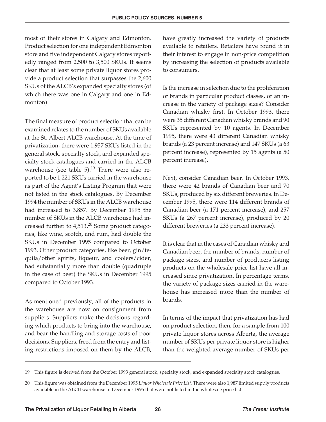most of their stores in Calgary and Edmonton. Product selection for one independent Edmonton store and five independent Calgary stores reportedly ranged from 2,500 to 3,500 SKUs. It seems clear that at least some private liquor stores provide a product selection that surpasses the 2,600 SKUs of the ALCB's expanded specialty stores (of which there was one in Calgary and one in Edmonton).

The final measure of product selection that can be examined relates to the number of SKUs available at the St. Albert ALCB warehouse. At the time of privatization, there were 1,957 SKUs listed in the general stock, specialty stock, and expanded specialty stock catalogues and carried in the ALCB warehouse (see table  $5$ ).<sup>19</sup> There were also reported to be 1,221 SKUs carried in the warehouse as part of the Agent's Listing Program that were not listed in the stock catalogues. By December 1994 the number of SKUs in the ALCB warehouse had increased to 3,857. By December 1995 the number of SKUs in the ALCB warehouse had increased further to  $4,513$ <sup>20</sup> Some product categories, like wine, scotch, and rum, had double the SKUs in December 1995 compared to October 1993. Other product categories, like beer, gin/tequila/other spirits, liqueur, and coolers/cider, had substantially more than double (quadruple in the case of beer) the SKUs in December 1995 compared to October 1993.

As mentioned previously, all of the products in the warehouse are now on consignment from suppliers. Suppliers make the decisions regarding which products to bring into the warehouse, and bear the handling and storage costs of poor decisions. Suppliers, freed from the entry and listing restrictions imposed on them by the ALCB, have greatly increased the variety of products available to retailers. Retailers have found it in their interest to engage in non-price competition by increasing the selection of products available to consumers.

Is the increase in selection due to the proliferation of brands in particular product classes, or an increase in the variety of package sizes? Consider Canadian whisky first. In October 1993, there were 35 different Canadian whisky brands and 90 SKUs represented by 10 agents. In December 1995, there were 43 different Canadian whisky brands (a 23 percent increase) and 147 SKUs (a 63 percent increase), represented by 15 agents (a 50 percent increase).

Next, consider Canadian beer. In October 1993, there were 42 brands of Canadian beer and 70 SKUs, produced by six different breweries. In December 1995, there were 114 different brands of Canadian beer (a 171 percent increase), and 257 SKUs (a 267 percent increase), produced by 20 different breweries (a 233 percent increase).

It is clear that in the cases of Canadian whisky and Canadian beer, the number of brands, number of package sizes, and number of producers listing products on the wholesale price list have all increased since privatization. In percentage terms, the variety of package sizes carried in the warehouse has increased more than the number of brands.

In terms of the impact that privatization has had on product selection, then, for a sample from 100 private liquor stores across Alberta, the average number of SKUs per private liquor store is higher than the weighted average number of SKUs per

<sup>19</sup> This figure is derived from the October 1993 general stock, specialty stock, and expanded specialty stock catalogues.

<sup>20</sup> This figure was obtained from the December 1995 *Liquor Wholesale Price List*. There were also 1,987 limited supply products available in the ALCB warehouse in December 1995 that were not listed in the wholesale price list.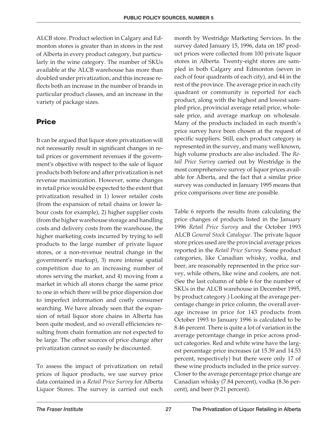ALCB store. Product selection in Calgary and Edmonton stores is greater than in stores in the rest of Alberta in every product category, but particularly in the wine category. The number of SKUs available at the ALCB warehouse has more than doubled under privatization, and this increase reflects both an increase in the number of brands in particular product classes, and an increase in the variety of package sizes.

#### **Price**

It can be argued that liquor store privatization will not necessarily result in significant changes in retail prices or government revenues if the government's objective with respect to the sale of liquor products both before and after privatization is net revenue maximization. However, some changes in retail price would be expected to the extent that privatization resulted in 1) lower retailer costs (from the expansion of retail chains or lower labour costs for example), 2) higher supplier costs (from the higher warehouse storage and handling costs and delivery costs from the warehouse, the higher marketing costs incurred by trying to sell products to the large number of private liquor stores, or a non-revenue neutral change in the government's markup), 3) more intense spatial competition due to an increasing number of stores serving the market, and 4) moving from a market in which all stores charge the same price to one in which there will be price dispersion due to imperfect information and costly consumer searching. We have already seen that the expansion of retail liquor store chains in Alberta has been quite modest, and so overall efficiencies resulting from chain formation are not expected to be large. The other sources of price change after privatization cannot so easily be discounted.

To assess the impact of privatization on retail prices of liquor products, we use survey price data contained in a *Retail Price Survey* for Alberta Liquor Stores. The survey is carried out each month by Westridge Marketing Services. In the survey dated January 15, 1996, data on 187 product prices were collected from 100 private liquor stores in Alberta. Twenty-eight stores are sampled in both Calgary and Edmonton (seven in each of four quadrants of each city), and 44 in the rest of the province. The average price in each city quadrant or community is reported for each product, along with the highest and lowest sampled price, provincial average retail price, wholesale price, and average markup on wholesale. Many of the products included in each month's price survey have been chosen at the request of specific suppliers. Still, each product category is represented in the survey, and many well known, high volume products are also included. The *Retail Price Survey* carried out by Westridge is the most comprehensive survey of liquor prices available for Alberta, and the fact that a similar price survey was conducted in January 1995 means that price comparisons over time are possible.

Table 6 reports the results from calculating the price changes of products listed in the January 1996 *Retail Price Survey* and the October 1993 ALCB *General Stock Catalogue*. The private liquor store prices used are the provincial average prices reported in the *Retail Price Survey*. Some product categories, like Canadian whisky, vodka, and beer, are reasonably represented in the price survey, while others, like wine and coolers, are not. (See the last column of table 6 for the number of SKUs in the ALCB warehouse in December 1995, by product category.) Looking at the average percentage change in price column, the overall average increase in price for 143 products from October 1993 to January 1996 is calculated to be 8.46 percent. There is quite a lot of variation in the average percentage change in price across product categories. Red and white wine have the largest percentage price increases (at 15.39 and 14.53 percent, respectively) but there were only 17 of these wine products included in the price survey. Closer to the average percentage price change are Canadian whisky (7.84 percent), vodka (8.36 percent), and beer (9.21 percent).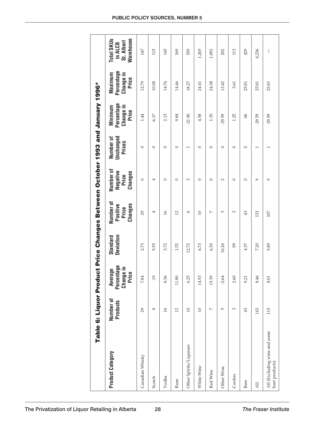|                                                | Table 6: Liquor Produ |                                                                       |                       | ct Price Changes Between October 1993 and January 1996* |                                           |                                  |                                             |                                             |                                                                |
|------------------------------------------------|-----------------------|-----------------------------------------------------------------------|-----------------------|---------------------------------------------------------|-------------------------------------------|----------------------------------|---------------------------------------------|---------------------------------------------|----------------------------------------------------------------|
| <b>Product Category</b>                        | Number of<br>Products | Percentage<br>$\frac{1}{e}$<br>Average<br>$\bullet$<br>Chango<br>Pric | Deviation<br>Standard | Number of<br>Changes<br>Positive<br>Price               | Number of<br>Negative<br>Changes<br>Price | Unchanged<br>Number of<br>Prices | Percentage<br>Change in<br>Minimum<br>Price | Percentage<br>Change in<br>Maximum<br>Price | <b>Warehouse</b><br><b>Total SKUs</b><br>St. Albert<br>in ALCB |
| Canadian Whisky                                | 29                    | 7.84                                                                  | 2.73                  | $\overline{29}$                                         | $\circ$                                   | $\circ$                          | 1.44                                        | 12.79                                       | 147                                                            |
| Scotch                                         | ${}^{\circ}$          | .19                                                                   | 5.55                  | 4                                                       | 4                                         | $\circ$                          | $-6.17$                                     | 10.08                                       | 115                                                            |
| Vodka                                          | $\overline{16}$       | 8.36                                                                  | 3.72                  | $\frac{1}{6}$                                           | $\circ$                                   | $\circ$                          | 2.13                                        | 14.76                                       | 145                                                            |
| Rum                                            | 12                    | $11.80\,$                                                             | 1.52                  | $\overline{12}$                                         | $\circ$                                   | $\circ$                          | 9.84                                        | 14.46                                       | 169                                                            |
| Other Spirits/Liqueurs                         | 10                    | 6.25                                                                  | 12.72                 | $\circ$                                                 | 3                                         | $\overline{\phantom{0}}$         | $-21.90$                                    | 18.27                                       | 559                                                            |
| White Wine                                     | $\overline{10}$       | 14.53                                                                 | 6.73                  | $\Box$                                                  | $\circ$                                   | $\circ$                          | 4.58                                        | 24.41                                       | 1,265                                                          |
| Red Wine                                       | $\sim$                | 15.39                                                                 | 6.50                  | $\overline{ }$                                          | $\circ$                                   | $\circ$                          | 1.35                                        | 24.38                                       | 1,092                                                          |
| Other Wine                                     | 5                     | $-2.64$                                                               | 16.26                 | 3                                                       | $\sim$                                    | $\circ$                          | $-29.59$                                    | 13.42                                       | 202                                                            |
| Coolers                                        | 3                     | 2.60                                                                  | 99                    | 3                                                       | $\circ$                                   | $\circ$                          | 1.25                                        | 3.61                                        | 113                                                            |
| Beer                                           | 43                    | 9.21                                                                  | 4.37                  | $\overline{43}$                                         | $\circ$                                   | $\circ$                          | 66                                          | 25.81                                       | 429                                                            |
| $\overline{a}$                                 | 143                   | 8.46                                                                  | 7.20                  | 133                                                     | $\sigma$                                  |                                  | $-29.59$                                    | 25.81                                       | 4,236                                                          |
| All (Excluding wine and some<br>beer products) | 115                   | 8.01                                                                  | 5.89                  | 107                                                     | $\sigma$                                  |                                  | $-29.59$                                    | 25.81                                       |                                                                |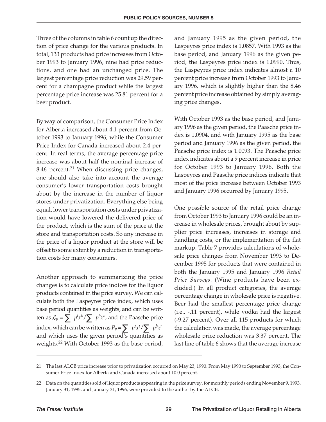Three of the columns in table 6 count up the direction of price change for the various products. In total, 133 products had price increases from October 1993 to January 1996, nine had price reductions, and one had an unchanged price. The largest percentage price reduction was 29.59 percent for a champagne product while the largest percentage price increase was 25.81 percent for a beer product.

By way of comparison, the Consumer Price Index for Alberta increased about 4.1 percent from October 1993 to January 1996, while the Consumer Price Index for Canada increased about 2.4 percent. In real terms, the average percentage price increase was about half the nominal increase of 8.46 percent.<sup>21</sup> When discussing price changes, one should also take into account the average consumer's lower transportation costs brought about by the increase in the number of liquor stores under privatization. Everything else being equal, lower transportation costs under privatization would have lowered the delivered price of the product, which is the sum of the price at the store and transportation costs. So any increase in the price of a liquor product at the store will be offset to some extent by a reduction in transportation costs for many consumers.

Another approach to summarizing the price changes is to calculate price indices for the liquor products contained in the price survey. We can calculate both the Laspeyres price index, which uses base period quantities as weights, and can be written as  $\mathcal{L}_p = \sum p^t x^b / \sum p^b x^b$ , and the Paasche price index, which can be written as  $P_p = \sum p^t x^t / \sum p^b x^t$ and which uses the given period's quantities as weights.<sup>22</sup> With October 1993 as the base period,

and January 1995 as the given period, the Laspeyres price index is 1.0857. With 1993 as the base period, and January 1996 as the given period, the Laspeyres price index is 1.0990. Thus, the Laspeyres price index indicates almost a 10 percent price increase from October 1993 to January 1996, which is slightly higher than the 8.46 percent price increase obtained by simply averaging price changes.

With October 1993 as the base period, and January 1996 as the given period, the Paasche price index is 1.0904, and with January 1995 as the base period and January 1996 as the given period, the Paasche price index is 1.0093. The Paasche price index indicates about a 9 percent increase in price for October 1993 to January 1996. Both the Laspeyres and Paasche price indices indicate that most of the price increase between October 1993 and January 1996 occurred by January 1995.

One possible source of the retail price change from October 1993 to January 1996 could be an increase in wholesale prices, brought about by supplier price increases, increases in storage and handling costs, or the implementation of the flat markup. Table 7 provides calculations of wholesale price changes from November 1993 to December 1995 for products that were contained in both the January 1995 and January 1996 *Retail Price Surveys*. (Wine products have been excluded.) In all product categories, the average percentage change in wholesale price is negative. Beer had the smallest percentage price change (i.e., -.11 percent), while vodka had the largest (-9.27 percent). Over all 115 products for which the calculation was made, the average percentage wholesale price reduction was 3.37 percent. The last line of table 6 shows that the average increase

<sup>21</sup> The last ALCB price increase prior to privatization occurred on May 23, 1990. From May 1990 to September 1993, the Consumer Price Index for Alberta and Canada increased about 10.0 percent.

<sup>22</sup> Data on the quantities sold of liquor products appearing in the price survey, for monthly periods ending November 9, 1993, January 31, 1995, and January 31, 1996, were provided to the author by the ALCB.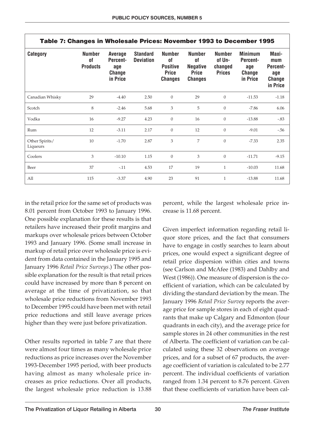| Table 7: Changes in Wholesale Prices: November 1993 to December 1995 |                                        |                                                         |                                     |                                                                          |                                                                          |                                                     |                                                                |                                                              |
|----------------------------------------------------------------------|----------------------------------------|---------------------------------------------------------|-------------------------------------|--------------------------------------------------------------------------|--------------------------------------------------------------------------|-----------------------------------------------------|----------------------------------------------------------------|--------------------------------------------------------------|
| <b>Category</b>                                                      | <b>Number</b><br>0f<br><b>Products</b> | <b>Average</b><br>Percent-<br>age<br>Change<br>in Price | <b>Standard</b><br><b>Deviation</b> | <b>Number</b><br>0f<br><b>Positive</b><br><b>Price</b><br><b>Changes</b> | <b>Number</b><br>0f<br><b>Negative</b><br><b>Price</b><br><b>Changes</b> | <b>Number</b><br>of Un-<br>changed<br><b>Prices</b> | <b>Minimum</b><br><b>Percent-</b><br>age<br>Change<br>in Price | Maxi-<br>mum<br>Percent-<br>age<br><b>Change</b><br>in Price |
| Canadian Whisky                                                      | 29                                     | $-4.40$                                                 | 2.50                                | $\overline{0}$                                                           | 29                                                                       | $\overline{0}$                                      | $-11.53$                                                       | $-1.18$                                                      |
| Scotch                                                               | 8                                      | $-2.46$                                                 | 5.68                                | 3                                                                        | 5                                                                        | $\overline{0}$                                      | $-7.86$                                                        | 6.06                                                         |
| Vodka                                                                | 16                                     | $-9.27$                                                 | 4.23                                | $\overline{0}$                                                           | 16                                                                       | $\mathbf{0}$                                        | $-13.88$                                                       | $-.83$                                                       |
| Rum                                                                  | 12                                     | $-3.11$                                                 | 2.17                                | $\overline{0}$                                                           | 12                                                                       | $\boldsymbol{0}$                                    | $-9.01$                                                        | $-0.56$                                                      |
| Other Spirits/<br>Liqueurs                                           | 10                                     | $-1.70$                                                 | 2.87                                | 3                                                                        | 7                                                                        | $\overline{0}$                                      | $-7.33$                                                        | 2.35                                                         |
| Coolers                                                              | 3                                      | $-10.10$                                                | 1.15                                | $\overline{0}$                                                           | 3                                                                        | $\boldsymbol{0}$                                    | $-11.71$                                                       | $-9.15$                                                      |
| Beer                                                                 | 37                                     | $-.11$                                                  | 4.53                                | 17                                                                       | 19                                                                       | $\mathbf{1}$                                        | $-10.03$                                                       | 11.68                                                        |
| All                                                                  | 115                                    | $-3.37$                                                 | 4.90                                | 23                                                                       | 91                                                                       | $\mathbf{1}$                                        | $-13.88$                                                       | 11.68                                                        |

in the retail price for the same set of products was 8.01 percent from October 1993 to January 1996. One possible explanation for these results is that retailers have increased their profit margins and markups over wholesale prices between October 1993 and January 1996. (Some small increase in markup of retail price over wholesale price is evident from data contained in the January 1995 and January 1996 *Retail Price Surveys*.) The other possible explanation for the result is that retail prices could have increased by more than 8 percent on average at the time of privatization, so that wholesale price reductions from November 1993 to December 1995 could have been met with retail price reductions and still leave average prices higher than they were just before privatization.

Other results reported in table 7 are that there were almost four times as many wholesale price reductions as price increases over the November 1993-December 1995 period, with beer products having almost as many wholesale price increases as price reductions. Over all products, the largest wholesale price reduction is 13.88 percent, while the largest wholesale price increase is 11.68 percent.

Given imperfect information regarding retail liquor store prices, and the fact that consumers have to engage in costly searches to learn about prices, one would expect a significant degree of retail price dispersion within cities and towns (see Carlson and McAfee (1983) and Dahlby and West (1986)). One measure of dispersion is the coefficient of variation, which can be calculated by dividing the standard deviation by the mean. The January 1996 *Retail Price Survey* reports the average price for sample stores in each of eight quadrants that make up Calgary and Edmonton (four quadrants in each city), and the average price for sample stores in 24 other communities in the rest of Alberta. The coefficient of variation can be calculated using these 32 observations on average prices, and for a subset of 67 products, the average coefficient of variation is calculated to be 2.77 percent. The individual coefficients of variation ranged from 1.34 percent to 8.76 percent. Given that these coefficients of variation have been cal-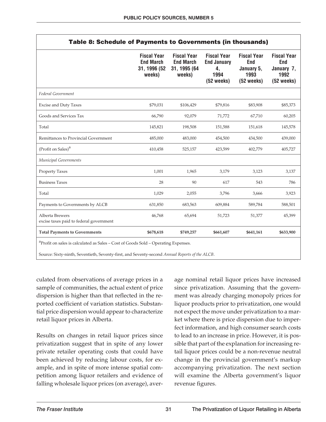| Table 8: Schedule of Payments to Governments (in thousands)                                    |                                                                  |                                                                  |                                                                        |                                                                                |                                                               |
|------------------------------------------------------------------------------------------------|------------------------------------------------------------------|------------------------------------------------------------------|------------------------------------------------------------------------|--------------------------------------------------------------------------------|---------------------------------------------------------------|
|                                                                                                | <b>Fiscal Year</b><br><b>End March</b><br>31, 1996 (52<br>weeks) | <b>Fiscal Year</b><br><b>End March</b><br>31, 1995 (64<br>weeks) | <b>Fiscal Year</b><br><b>End January</b><br>4,<br>1994<br>$(52$ weeks) | <b>Fiscal Year</b><br><b>End</b><br>January 5,<br>1993<br>$(52 \text{ weeks})$ | <b>Fiscal Year</b><br>End<br>January 7,<br>1992<br>(52 weeks) |
| Federal Government                                                                             |                                                                  |                                                                  |                                                                        |                                                                                |                                                               |
| <b>Excise and Duty Taxes</b>                                                                   | \$79,031                                                         | \$106,429                                                        | \$79,816                                                               | \$83,908                                                                       | \$85,373                                                      |
| Goods and Services Tax                                                                         | 66,790                                                           | 92,079                                                           | 71,772                                                                 | 67,710                                                                         | 60,205                                                        |
| Total                                                                                          | 145,821                                                          | 198,508                                                          | 151,588                                                                | 151,618                                                                        | 145,578                                                       |
| Remittances to Provincial Government                                                           | 485,000                                                          | 483,000                                                          | 454,500                                                                | 434,500                                                                        | 439,000                                                       |
| (Profit on Sales) <sup>a</sup>                                                                 | 410,458                                                          | 525,157                                                          | 423,599                                                                | 402,779                                                                        | 405,727                                                       |
| Municipal Governments                                                                          |                                                                  |                                                                  |                                                                        |                                                                                |                                                               |
| <b>Property Taxes</b>                                                                          | 1,001                                                            | 1,965                                                            | 3,179                                                                  | 3,123                                                                          | 3,137                                                         |
| <b>Business Taxes</b>                                                                          | 28                                                               | 90                                                               | 617                                                                    | 543                                                                            | 786                                                           |
| Total                                                                                          | 1,029                                                            | 2,055                                                            | 3,796                                                                  | 3,666                                                                          | 3,923                                                         |
| Payments to Governments by ALCB                                                                | 631,850                                                          | 683,563                                                          | 609,884                                                                | 589,784                                                                        | 588,501                                                       |
| Alberta Brewers<br>excise taxes paid to federal government                                     | 46,768                                                           | 65,694                                                           | 51,723                                                                 | 51,377                                                                         | 45,399                                                        |
| <b>Total Payments to Governments</b>                                                           | \$678,618                                                        | \$749,257                                                        | \$661,607                                                              | \$641,161                                                                      | \$633,900                                                     |
| <sup>a</sup> Profit on sales is calculated as Sales - Cost of Goods Sold - Operating Expenses. |                                                                  |                                                                  |                                                                        |                                                                                |                                                               |

Source: Sixty-ninth, Seventieth, Seventy-first, and Seventy-second *Annual Reports of the ALCB*.

culated from observations of average prices in a sample of communities, the actual extent of price dispersion is higher than that reflected in the reported coefficient of variation statistics. Substantial price dispersion would appear to characterize retail liquor prices in Alberta.

Results on changes in retail liquor prices since privatization suggest that in spite of any lower private retailer operating costs that could have been achieved by reducing labour costs, for example, and in spite of more intense spatial competition among liquor retailers and evidence of falling wholesale liquor prices (on average), average nominal retail liquor prices have increased since privatization. Assuming that the government was already charging monopoly prices for liquor products prior to privatization, one would not expect the move under privatization to a market where there is price dispersion due to imperfect information, and high consumer search costs to lead to an increase in price. However, it is possible that part of the explanation for increasing retail liquor prices could be a non-revenue neutral change in the provincial government's markup accompanying privatization. The next section will examine the Alberta government's liquor revenue figures.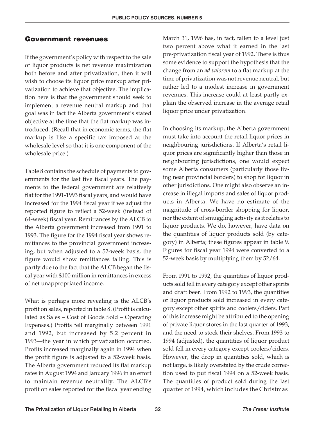#### **Government revenues**

If the government's policy with respect to the sale of liquor products is net revenue maximization both before and after privatization, then it will wish to choose its liquor price markup after privatization to achieve that objective. The implication here is that the government should seek to implement a revenue neutral markup and that goal was in fact the Alberta government's stated objective at the time that the flat markup was introduced. (Recall that in economic terms, the flat markup is like a specific tax imposed at the wholesale level so that it is one component of the wholesale price.)

Table 8 contains the schedule of payments to governments for the last five fiscal years. The payments to the federal government are relatively flat for the 1991-1993 fiscal years, and would have increased for the 1994 fiscal year if we adjust the reported figure to reflect a 52-week (instead of 64-week) fiscal year. Remittances by the ALCB to the Alberta government increased from 1991 to 1993. The figure for the 1994 fiscal year shows remittances to the provincial government increasing, but when adjusted to a 52-week basis, the figure would show remittances falling. This is partly due to the fact that the ALCB began the fiscal year with \$100 million in remittances in excess of net unappropriated income.

What is perhaps more revealing is the ALCB's profit on sales, reported in table 8. (Profit is calculated as Sales – Cost of Goods Sold – Operating Expenses.) Profits fell marginally between 1991 and 1992, but increased by 5.2 percent in 1993—the year in which privatization occurred. Profits increased marginally again in 1994 when the profit figure is adjusted to a 52-week basis. The Alberta government reduced its flat markup rates in August 1994 and January 1996 in an effort to maintain revenue neutrality. The ALCB's profit on sales reported for the fiscal year ending

March 31, 1996 has, in fact, fallen to a level just two percent above what it earned in the last pre-privatization fiscal year of 1992. There is thus some evidence to support the hypothesis that the change from an *ad valorem* to a flat markup at the time of privatization was not revenue neutral, but rather led to a modest increase in government revenues. This increase could at least partly explain the observed increase in the average retail liquor price under privatization.

In choosing its markup, the Alberta government must take into account the retail liquor prices in neighbouring jurisdictions. If Alberta's retail liquor prices are significantly higher than those in neighbouring jurisdictions, one would expect some Alberta consumers (particularly those living near provincial borders) to shop for liquor in other jurisdictions. One might also observe an increase in illegal imports and sales of liquor products in Alberta. We have no estimate of the magnitude of cross-border shopping for liquor, nor the extent of smuggling activity as it relates to liquor products. We do, however, have data on the quantities of liquor products sold (by category) in Alberta; these figures appear in table 9. Figures for fiscal year 1994 were converted to a 52-week basis by multiplying them by 52/64.

From 1991 to 1992, the quantities of liquor products sold fell in every category except other spirits and draft beer. From 1992 to 1993, the quantities of liquor products sold increased in every category except other spirits and coolers/ciders. Part of this increase might be attributed to the opening of private liquor stores in the last quarter of 1993, and the need to stock their shelves. From 1993 to 1994 (adjusted), the quantities of liquor product sold fell in every category except coolers/ciders. However, the drop in quantities sold, which is not large, is likely overstated by the crude correction used to put fiscal 1994 on a 52-week basis. The quantities of product sold during the last quarter of 1994, which includes the Christmas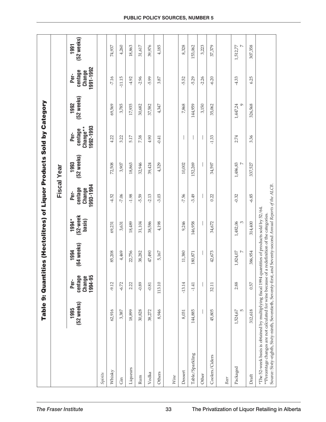|                                                                                                                                                                                                                                                                                |                            | Table 9: Quanti                      | ities (Hectolitres) of Liquor Products Sold by Category |                             |                                        | Fiscal Year        |                                          |                      |                                        |                              |
|--------------------------------------------------------------------------------------------------------------------------------------------------------------------------------------------------------------------------------------------------------------------------------|----------------------------|--------------------------------------|---------------------------------------------------------|-----------------------------|----------------------------------------|--------------------|------------------------------------------|----------------------|----------------------------------------|------------------------------|
|                                                                                                                                                                                                                                                                                | (52 weeks)<br>1995         | centage<br>1994-95<br>Change<br>Per- | (64 weeks)<br>1994                                      | (52-week<br>1994*<br>basis) | 1993-1994<br>centage<br>Change<br>Per- | (52 weeks)<br>1993 | 1992-1993<br>Change**<br>centage<br>Per- | (52 weeks)<br>1992   | 1991-1992<br>centage<br>Change<br>Per- | (52 weeks)<br>1991           |
| Spirits                                                                                                                                                                                                                                                                        |                            |                                      |                                                         |                             |                                        |                    |                                          |                      |                                        |                              |
| Whisky                                                                                                                                                                                                                                                                         | 62,916                     | $-9.12$                              | 85,208                                                  | 69,231                      | $-4.52$                                | 72,508             | 4.22                                     | 69,569               | $-7.16$                                | 74,937                       |
| $\rm{Gin}$                                                                                                                                                                                                                                                                     | 3,387                      | $-6.72$                              | 4,469                                                   | 3,631                       | $-7.06$                                | 3,907              | 3.22                                     | 3,785                | $-11.15$                               | 4,260                        |
| Liqueurs                                                                                                                                                                                                                                                                       | 18,899                     | 2.22                                 | 22,756                                                  | 18,489                      | $-1.98$                                | 18,863             | 5.17                                     | 17,935               | $-4.92$                                | 18,863                       |
| Rum                                                                                                                                                                                                                                                                            | 30,828                     | $-0.89$                              | 38,282                                                  | 31,104                      | $-5.59$                                | 32,946             | 7.38                                     | 30,682               | $-2.96$                                | 31,617                       |
| Vodka                                                                                                                                                                                                                                                                          | 38,272                     | $-0.81$                              | 47,490                                                  | 38,586                      | $-2.13$                                | 39,424             | 4.90                                     | 37,582               | $-5.99$                                | 39,976                       |
| Others                                                                                                                                                                                                                                                                         | 8,946                      | 113.10                               | 5,167                                                   | 4,198                       | $-3.03$                                | 4,329              | $-0.41$                                  | 4,347                | 3.87                                   | 4,185                        |
| Wine                                                                                                                                                                                                                                                                           |                            |                                      |                                                         |                             |                                        |                    |                                          |                      |                                        |                              |
| Dessert                                                                                                                                                                                                                                                                        | 8,031                      | $-13.14$                             | 11,380                                                  | 9,246                       | $-7.56$                                | 10,002             |                                          | 7,868                | 5.52                                   | 8,328                        |
| Table/Sparkling                                                                                                                                                                                                                                                                | 144,885                    | $-1.41$                              | 180,871                                                 | 146,958                     | $-3.49$                                | 152,269            |                                          | 144,959              | $-5.29$                                | 153,062                      |
| Other                                                                                                                                                                                                                                                                          |                            |                                      |                                                         |                             |                                        |                    |                                          | 3,150                | $-2.26$                                | 3,223                        |
| Coolers/Ciders                                                                                                                                                                                                                                                                 | 45,805                     | 32.11                                | 42,673                                                  | 34,672                      | 0.22                                   | 34,597             | $-1.33$                                  | 35,062               | $-6.20$                                | 37,379                       |
| Beer                                                                                                                                                                                                                                                                           |                            |                                      |                                                         |                             |                                        |                    |                                          |                      |                                        |                              |
| Packaged                                                                                                                                                                                                                                                                       | $\overline{5}$<br>1,524,67 | 2.88                                 | $\overline{ }$<br>1,824,07                              | 1,482,06<br>3               | $-0.32$                                | 1,486,83           | 2.74                                     | 1,447,24<br>$\sigma$ | $-4.33$                                | $\triangleright$<br>1,512,77 |
| Draft                                                                                                                                                                                                                                                                          | 312,618                    | 0.57                                 | 386,954                                                 | 314,400                     | $-6.85$                                | 337,527            | 3.36                                     | 326,568              | 6.25                                   | 307,358                      |
| Source: Sixty-eighth, Sixty-ninth, Seventieth, Seventy-first, and Seventy-second Annual Reports of the ALCB.<br>*The 52-week basis is obtained by multiplying fiscal 1994 quantities of products sold by 52/64.<br>**Percentage changes are not calculated for wine because of |                            |                                      | a redefinition of the categories.                       |                             |                                        |                    |                                          |                      |                                        |                              |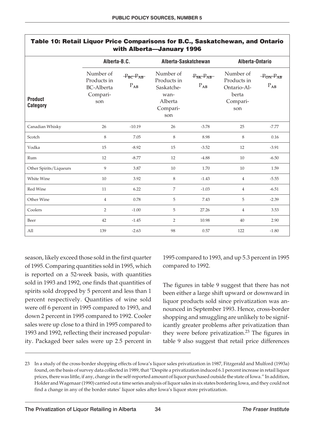|                                   |                                                                  |                            | with Alberta-January 1996                                                    |                             |                                                                     |                              |
|-----------------------------------|------------------------------------------------------------------|----------------------------|------------------------------------------------------------------------------|-----------------------------|---------------------------------------------------------------------|------------------------------|
|                                   | Alberta-B.C.                                                     |                            | Alberta-Saskatchewan                                                         |                             | Alberta-Ontario                                                     |                              |
| <b>Product</b><br><b>Category</b> | Number of<br>Products in<br><b>BC-Alberta</b><br>Compari-<br>son | $P_{BC}P_{AB}$<br>$P_{AB}$ | Number of<br>Products in<br>Saskatche-<br>wan-<br>Alberta<br>Compari-<br>son | $P_{SK}-P_{AB}$<br>$P_{AB}$ | Number of<br>Products in<br>Ontario-Al-<br>berta<br>Compari-<br>son | $-P_{ON}-P_{AB}$<br>$P_{AB}$ |
| Canadian Whisky                   | 26                                                               | $-10.19$                   | 26                                                                           | $-3.78$                     | 25                                                                  | $-7.77$                      |
| Scotch                            | $\,8\,$                                                          | 7.05                       | $\,$ 8 $\,$                                                                  | 8.98                        | 8                                                                   | 0.16                         |
| Vodka                             | 15                                                               | $-8.92$                    | 15                                                                           | $-3.52$                     | 12                                                                  | $-3.91$                      |
| Rum                               | 12                                                               | $-8.77$                    | 12                                                                           | $-4.88$                     | 10                                                                  | $-6.50$                      |
| Other Spirits/Liqueurs            | 9                                                                | 3.87                       | $10\,$                                                                       | 1.70                        | 10                                                                  | 1.59                         |
| White Wine                        | 10                                                               | 3.92                       | 8                                                                            | $-1.43$                     | $\overline{4}$                                                      | $-5.55$                      |
| Red Wine                          | 11                                                               | 6.22                       | $\overline{7}$                                                               | $-1.03$                     | $\overline{4}$                                                      | $-6.51$                      |
| Other Wine                        | $\overline{4}$                                                   | 0.78                       | 5                                                                            | 7.43                        | 5                                                                   | $-2.39$                      |
| Coolers                           | $\overline{2}$                                                   | $-1.00$                    | 5                                                                            | 27.26                       | $\overline{4}$                                                      | 3.53                         |
| Beer                              | 42                                                               | $-1.45$                    | $\overline{2}$                                                               | 10.98                       | 40                                                                  | 2.90                         |
| All                               | 139                                                              | $-2.63$                    | 98                                                                           | 0.57                        | 122                                                                 | $-1.80$                      |

#### **Table 10: Retail Liquor Price Comparisons for B.C., Saskatchewan, and Ontario with Alberta—January 1996**

season, likely exceed those sold in the first quarter of 1995. Comparing quantities sold in 1995, which is reported on a 52-week basis, with quantities sold in 1993 and 1992, one finds that quantities of spirits sold dropped by 5 percent and less than 1 percent respectively. Quantities of wine sold were off 6 percent in 1995 compared to 1993, and down 2 percent in 1995 compared to 1992. Cooler sales were up close to a third in 1995 compared to 1993 and 1992, reflecting their increased popularity. Packaged beer sales were up 2.5 percent in

1995 compared to 1993, and up 5.3 percent in 1995 compared to 1992.

The figures in table 9 suggest that there has not been either a large shift upward or downward in liquor products sold since privatization was announced in September 1993. Hence, cross-border shopping and smuggling are unlikely to be significantly greater problems after privatization than they were before privatization.<sup>23</sup> The figures in table 9 also suggest that retail price differences

<sup>23</sup> In a study of the cross-border shopping effects of Iowa's liquor sales privatization in 1987, Fitzgerald and Mulford (1993a) found, on the basis of survey data collected in 1989, that "Despite a privatization induced 6.1 percent increase in retail liquor prices, there was little, if any, change in the self-reported amount of liquor purchased outside the state of Iowa." In addition, Holder and Wagenaar (1990) carried out a time series analysis of liquor sales in six states bordering Iowa, and they could not find a change in any of the border states' liquor sales after Iowa's liquor store privatization.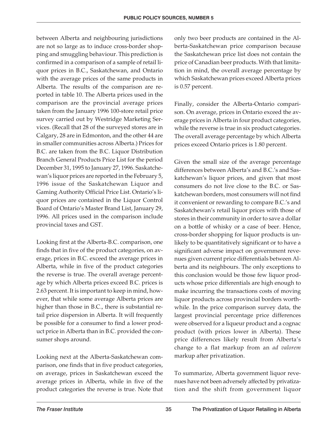between Alberta and neighbouring jurisdictions are not so large as to induce cross-border shopping and smuggling behaviour. This prediction is confirmed in a comparison of a sample of retail liquor prices in B.C., Saskatchewan, and Ontario with the average prices of the same products in Alberta. The results of the comparison are reported in table 10. The Alberta prices used in the comparison are the provincial average prices taken from the January 1996 100-store retail price survey carried out by Westridge Marketing Services. (Recall that 28 of the surveyed stores are in Calgary, 28 are in Edmonton, and the other 44 are in smaller communities across Alberta.) Prices for B.C. are taken from the B.C. Liquor Distribution Branch General Products Price List for the period December 31, 1995 to January 27, 1996. Saskatchewan's liquor prices are reported in the February 5, 1996 issue of the Saskatchewan Liquor and Gaming Authority Official Price List. Ontario's liquor prices are contained in the Liquor Control Board of Ontario's Master Brand List, January 29, 1996. All prices used in the comparison include provincial taxes and GST.

Looking first at the Alberta-B.C. comparison, one finds that in five of the product categories, on average, prices in B.C. exceed the average prices in Alberta, while in five of the product categories the reverse is true. The overall average percentage by which Alberta prices exceed B.C. prices is 2.63 percent. It is important to keep in mind, however, that while some average Alberta prices are higher than those in B.C., there is substantial retail price dispersion in Alberta. It will frequently be possible for a consumer to find a lower product price in Alberta than in B.C. provided the consumer shops around.

Looking next at the Alberta-Saskatchewan comparison, one finds that in five product categories, on average, prices in Saskatchewan exceed the average prices in Alberta, while in five of the product categories the reverse is true. Note that only two beer products are contained in the Alberta-Saskatchewan price comparison because the Saskatchewan price list does not contain the price of Canadian beer products. With that limitation in mind, the overall average percentage by which Saskatchewan prices exceed Alberta prices is 0.57 percent.

Finally, consider the Alberta-Ontario comparison. On average, prices in Ontario exceed the average prices in Alberta in four product categories, while the reverse is true in six product categories. The overall average percentage by which Alberta prices exceed Ontario prices is 1.80 percent.

Given the small size of the average percentage differences between Alberta's and B.C.'s and Saskatchewan's liquor prices, and given that most consumers do not live close to the B.C. or Saskatchewan borders, most consumers will not find it convenient or rewarding to compare B.C.'s and Saskatchewan's retail liquor prices with those of stores in their community in order to save a dollar on a bottle of whisky or a case of beer. Hence, cross-border shopping for liquor products is unlikely to be quantitatively significant or to have a significant adverse impact on government revenues given current price differentials between Alberta and its neighbours. The only exceptions to this conclusion would be those few liquor products whose price differentials are high enough to make incurring the transactions costs of moving liquor products across provincial borders worthwhile. In the price comparison survey data, the largest provincial percentage price differences were observed for a liqueur product and a cognac product (with prices lower in Alberta). These price differences likely result from Alberta's change to a flat markup from an *ad valorem* markup after privatization.

To summarize, Alberta government liquor revenues have not been adversely affected by privatization and the shift from government liquor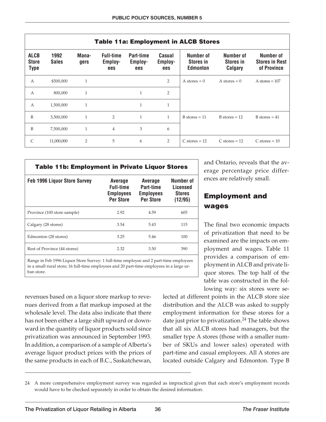|                                            |                      |                |                                    |                             |                          | <b>Table 11a: Employment in ALCB Stores</b>      |                                          |                                                   |
|--------------------------------------------|----------------------|----------------|------------------------------------|-----------------------------|--------------------------|--------------------------------------------------|------------------------------------------|---------------------------------------------------|
| <b>ALCB</b><br><b>Store</b><br><b>Type</b> | 1992<br><b>Sales</b> | Mana-<br>gers  | <b>Full-time</b><br>Employ-<br>ees | Part-time<br>Employ-<br>ees | Casual<br>Employ-<br>ees | Number of<br><b>Stores in</b><br><b>Edmonton</b> | Number of<br><b>Stores in</b><br>Calgary | Number of<br><b>Stores in Rest</b><br>of Province |
| $\mathbf{A}$                               | \$500,000            | $\mathbf{1}$   |                                    |                             | 2                        | A stores $= 0$                                   | A stores $= 0$                           | A stores $= 107$                                  |
| $\mathbf{A}$                               | 800,000              | $\mathbf{1}$   |                                    | $\mathbf{1}$                | 2                        |                                                  |                                          |                                                   |
| $\mathbf{A}$                               | 1,500,000            | $\mathbf{1}$   |                                    | $\mathbf{1}$                | $\mathbf{1}$             |                                                  |                                          |                                                   |
| B                                          | 3,500,000            | $\mathbf{1}$   | $\overline{2}$                     | $\mathbf{1}$                | 1                        | $B$ stores = 11                                  | $B$ stores = 12                          | $B$ stores = 41                                   |
| B                                          | 7,500,000            | $\mathbf{1}$   | $\overline{4}$                     | 3                           | 6                        |                                                  |                                          |                                                   |
| $\mathsf{C}$                               | 11,000,000           | $\overline{2}$ | 5                                  | 6                           | 2                        | $C$ stores = 12                                  | $C$ stores = 12                          | $C$ stores = 10                                   |

| <b>Table 11b: Employment in Private Liquor Stores</b> |                                                                            |                                                              |                                                   |  |  |  |  |  |
|-------------------------------------------------------|----------------------------------------------------------------------------|--------------------------------------------------------------|---------------------------------------------------|--|--|--|--|--|
| <b>Feb 1996 Liquor Store Survey</b>                   | <b>Average</b><br><b>Full-time</b><br><b>Employees</b><br><b>Per Store</b> | Average<br>Part-time<br><b>Employees</b><br><b>Per Store</b> | Number of<br>Licensed<br><b>Stores</b><br>(12/95) |  |  |  |  |  |
| Province (100 store sample)                           | 2.92                                                                       | 4.59                                                         | 605                                               |  |  |  |  |  |
| Calgary (28 stores)                                   | 3.54                                                                       | 5.43                                                         | 115                                               |  |  |  |  |  |
| Edmonton (28 stores)                                  | 3.25                                                                       | 5.46                                                         | 100                                               |  |  |  |  |  |
| Rest of Province (44 stores)                          | 2.32                                                                       | 3.50                                                         | 390                                               |  |  |  |  |  |

Range in Feb 1996 Liquor Store Survey: 1 full-time employee and 2 part-time employees in a small rural store; 16 full-time employees and 20 part-time employees in a large urban store.

revenues based on a liquor store markup to revenues derived from a flat markup imposed at the wholesale level. The data also indicate that there has not been either a large shift upward or downward in the quantity of liquor products sold since privatization was announced in September 1993. In addition, a comparison of a sample of Alberta's average liquor product prices with the prices of the same products in each of B.C., Saskatchewan, and Ontario, reveals that the average percentage price differences are relatively small.

#### **Employment and wages**

The final two economic impacts of privatization that need to be examined are the impacts on employment and wages. Table 11 provides a comparison of employment in ALCB and private liquor stores. The top half of the table was constructed in the following way: six stores were se-

lected at different points in the ALCB store size distribution and the ALCB was asked to supply employment information for these stores for a date just prior to privatization. $24$  The table shows that all six ALCB stores had managers, but the smaller type A stores (those with a smaller number of SKUs and lower sales) operated with part-time and casual employees. All A stores are located outside Calgary and Edmonton. Type B

<sup>24</sup> A more comprehensive employment survey was regarded as impractical given that each store's employment records would have to be checked separately in order to obtain the desired information.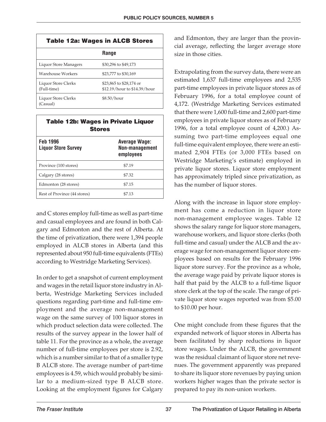| <b>Table 12a: Wages in ALCB Stores</b> |                                                         |  |  |  |  |
|----------------------------------------|---------------------------------------------------------|--|--|--|--|
|                                        | <b>Range</b>                                            |  |  |  |  |
| Liquor Store Managers                  | \$30,296 to \$49,173                                    |  |  |  |  |
| Warehouse Workers                      | \$23.777 to \$30.169                                    |  |  |  |  |
| Liquor Store Clerks<br>(Full-time)     | \$23,865 to \$28,174 or<br>\$12.19/hour to \$14.39/hour |  |  |  |  |
| Liquor Store Clerks<br>(Casual)        | \$8.50/hour                                             |  |  |  |  |

| <b>Table 12b: Wages in Private Liquor</b><br><b>Stores</b> |                                              |  |  |  |
|------------------------------------------------------------|----------------------------------------------|--|--|--|
| <b>Feb 1996</b><br><b>Liquor Store Survey</b>              | Average Wage:<br>Non-management<br>employees |  |  |  |
| Province (100 stores)                                      | \$7.19                                       |  |  |  |
| Calgary (28 stores)                                        | \$7.32                                       |  |  |  |
| Edmonton (28 stores)                                       | \$7.15                                       |  |  |  |
| Rest of Province (44 stores)                               | \$7.13                                       |  |  |  |

and C stores employ full-time as well as part-time and casual employees and are found in both Calgary and Edmonton and the rest of Alberta. At the time of privatization, there were 1,394 people employed in ALCB stores in Alberta (and this represented about 950 full-time equivalents (FTEs) according to Westridge Marketing Services).

In order to get a snapshot of current employment and wages in the retail liquor store industry in Alberta, Westridge Marketing Services included questions regarding part-time and full-time employment and the average non-management wage on the same survey of 100 liquor stores in which product selection data were collected. The results of the survey appear in the lower half of table 11. For the province as a whole, the average number of full-time employees per store is 2.92, which is a number similar to that of a smaller type B ALCB store. The average number of part-time employees is 4.59, which would probably be similar to a medium-sized type B ALCB store. Looking at the employment figures for Calgary

and Edmonton, they are larger than the provincial average, reflecting the larger average store size in those cities.

Extrapolating from the survey data, there were an estimated 1,637 full-time employees and 2,535 part-time employees in private liquor stores as of February 1996, for a total employee count of 4,172. (Westridge Marketing Services estimated that there were 1,600 full-time and 2,600 part-time employees in private liquor stores as of February 1996, for a total employee count of 4,200.) Assuming two part-time employees equal one full-time equivalent employee, there were an estimated 2,904 FTEs (or 3,000 FTEs based on Westridge Marketing's estimate) employed in private liquor stores. Liquor store employment has approximately tripled since privatization, as has the number of liquor stores.

Along with the increase in liquor store employment has come a reduction in liquor store non-management employee wages. Table 12 shows the salary range for liquor store managers, warehouse workers, and liquor store clerks (both full-time and casual) under the ALCB and the average wage for non-management liquor store employees based on results for the February 1996 liquor store survey. For the province as a whole, the average wage paid by private liquor stores is half that paid by the ALCB to a full-time liquor store clerk at the top of the scale. The range of private liquor store wages reported was from \$5.00 to \$10.00 per hour.

One might conclude from these figures that the expanded network of liquor stores in Alberta has been facilitated by sharp reductions in liquor store wages. Under the ALCB, the government was the residual claimant of liquor store net revenues. The government apparently was prepared to share its liquor store revenues by paying union workers higher wages than the private sector is prepared to pay its non-union workers.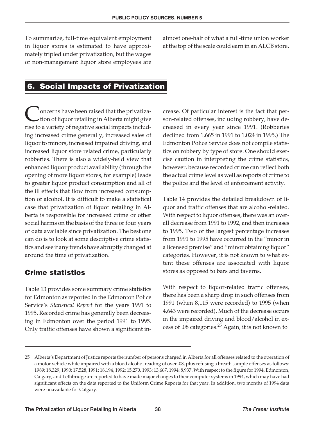To summarize, full-time equivalent employment in liquor stores is estimated to have approximately tripled under privatization, but the wages of non-management liquor store employees are almost one-half of what a full-time union worker at the top of the scale could earn in an ALCB store.

# **6. Social Impacts of Privatization**

<sup>1</sup> oncerns have been raised that the privatization of liquor retailing in Alberta might give rise to a variety of negative social impacts including increased crime generally, increased sales of liquor to minors, increased impaired driving, and increased liquor store related crime, particularly robberies. There is also a widely-held view that enhanced liquor product availability (through the opening of more liquor stores, for example) leads to greater liquor product consumption and all of the ill effects that flow from increased consumption of alcohol. It is difficult to make a statistical case that privatization of liquor retailing in Alberta is responsible for increased crime or other social harms on the basis of the three or four years of data available since privatization. The best one can do is to look at some descriptive crime statistics and see if any trends have abruptly changed at around the time of privatization.

# **Crime statistics**

Table 13 provides some summary crime statistics for Edmonton as reported in the Edmonton Police Service's *Statistical Report* for the years 1991 to 1995. Recorded crime has generally been decreasing in Edmonton over the period 1991 to 1995. Only traffic offenses have shown a significant increase. Of particular interest is the fact that person-related offenses, including robbery, have decreased in every year since 1991. (Robberies declined from 1,665 in 1991 to 1,024 in 1995.) The Edmonton Police Service does not compile statistics on robbery by type of store. One should exercise caution in interpreting the crime statistics, however, because recorded crime can reflect both the actual crime level as well as reports of crime to the police and the level of enforcement activity.

Table 14 provides the detailed breakdown of liquor and traffic offenses that are alcohol-related. With respect to liquor offenses, there was an overall decrease from 1991 to 1992, and then increases to 1995. Two of the largest percentage increases from 1991 to 1995 have occurred in the "minor in a licensed premise" and "minor obtaining liquor" categories. However, it is not known to what extent these offenses are associated with liquor stores as opposed to bars and taverns.

With respect to liquor-related traffic offenses, there has been a sharp drop in such offenses from 1991 (when 8,115 were recorded) to 1995 (when 4,643 were recorded). Much of the decrease occurs in the impaired driving and blood/alcohol in excess of .08 categories.<sup>25</sup> Again, it is not known to

<sup>25</sup> Alberta's Department of Justice reports the number of persons charged in Alberta for all offenses related to the operation of a motor vehicle while impaired with a blood alcohol reading of over .08, plus refusing a breath sample offenses as follows: 1989: 18,329, 1990: 17,528, 1991: 18,194, 1992: 15,270, 1993: 13,667, 1994: 8,937. With respect to the figure for 1994, Edmonton, Calgary, and Lethbridge are reported to have made major changes to their computer systems in 1994, which may have had significant effects on the data reported to the Uniform Crime Reports for that year. In addition, two months of 1994 data were unavailable for Calgary.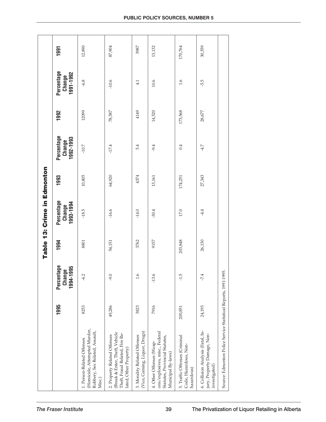|                                                                                                                            |         |                                   |         | Table 13: Crime in Edmonton       |         |                                   |         |                                   |         |
|----------------------------------------------------------------------------------------------------------------------------|---------|-----------------------------------|---------|-----------------------------------|---------|-----------------------------------|---------|-----------------------------------|---------|
|                                                                                                                            | 1995    | Percentage<br>1994-1995<br>Change | 1994    | Percentage<br>1993-1994<br>Change | 1993    | Percentage<br>1992-1993<br>Change | 1992    | Percentage<br>1991-1992<br>Change | 1991    |
| (Homicide, Attempted Murder,<br>Robbery, Sex Related, Assault,<br>1. Person-Related Offenses<br>Misc.)                     | 8253    | $-6.2$                            | 8801    | $-18.5$                           | 10,805  | $-10.7$                           | 12099   | $-6.8$                            | 12,890  |
| (Break & Enter, Theft, Vehicle<br>Theft, Fraud Related, Fire Re-<br>2. Property Related Offenses<br>lated, Other Property) | 49,286  | $0.6 -$                           | 54,151  | $-16.6$                           | 64,920  | $-17.4$                           | 78,587  | $-10.6$                           | 87,904  |
| (Vice, Gaming, Liquor, Drugs)<br>3. Morality Related Offenses                                                              | 3823    | 1.6                               | 3762    | $-14.0$                           | 4374    | 5.4                               | 4149    | 4.1                               | 3987    |
| ons/explosives, misc., Federal<br>Statutes, Provincial Statutes,<br>4. Other Offenses (Weap-<br>Municipal By-laws)         | 7916    | $-13.6$                           | 9157    | $-30.4$                           | 13,161  | $-9.4$                            | 14,520  | 10.6                              | 13,132  |
| 5. Traffic Offenses (Criminal<br>Code, Hazardous, Non-<br>hazardous)                                                       | 200,851 | $-1.5$                            | 203,848 | 17.0                              | 174,251 | 0.4                               | 173,568 | 1.6                               | 170,764 |
| 6. Collision Analysis (Fatal, In-<br>jury, Property Damage, Non-<br>investigated)                                          | 24,193  | $-7.4$                            | 26,130  | $-4.4$                            | 27,343  | $-4.7$                            | 28,677  | -5.5                              | 30,359  |
| Source: Edmonton Police Service Statistical Reports, 1991-1995.                                                            |         |                                   |         |                                   |         |                                   |         |                                   |         |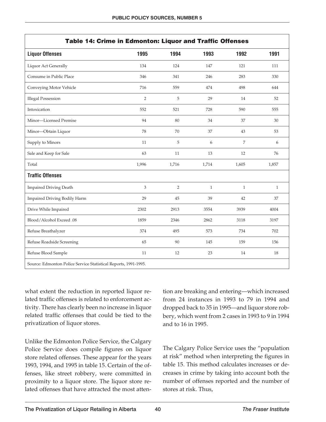| Table 14: Crime in Edmonton: Liquor and Traffic Offenses        |                |                |              |              |              |  |
|-----------------------------------------------------------------|----------------|----------------|--------------|--------------|--------------|--|
| <b>Liquor Offenses</b>                                          | 1995           | 1994           | 1993         | 1992         | 1991         |  |
| Liquor Act Generally                                            | 134            | 124            | 147          | 121          | 111          |  |
| Consume in Public Place                                         | 346            | 341            | 246          | 283          | 330          |  |
| Conveying Motor Vehicle                                         | 716            | 559            | 474          | 498          | 644          |  |
| <b>Illegal Possession</b>                                       | $\overline{2}$ | 5              | 29           | 14           | 52           |  |
| Intoxication                                                    | 552            | 521            | 728          | 590          | 555          |  |
| Minor-Licensed Premise                                          | 94             | 80             | 34           | 37           | $30\,$       |  |
| Minor-Obtain Liquor                                             | 78             | $70\,$         | 37           | 43           | 53           |  |
| Supply to Minors                                                | 11             | 5              | 6            | 7            | 6            |  |
| Sale and Keep for Sale                                          | 63             | 11             | 13           | 12           | 76           |  |
| Total                                                           | 1,996          | 1,716          | 1,714        | 1,605        | 1,857        |  |
| <b>Traffic Offenses</b>                                         |                |                |              |              |              |  |
| <b>Impaired Driving Death</b>                                   | 3              | $\overline{2}$ | $\mathbf{1}$ | $\mathbf{1}$ | $\mathbf{1}$ |  |
| Impaired Driving Bodily Harm                                    | 29             | 45             | 39           | 42           | 37           |  |
| Drive While Impaired                                            | 2302           | 2913           | 3554         | 3939         | 4004         |  |
| Blood/Alcohol Exceed .08                                        | 1859           | 2346           | 2862         | 3118         | 3197         |  |
| Refuse Breathalyzer                                             | 374            | 495            | 573          | 734          | 702          |  |
| Refuse Roadside Screening                                       | 65             | 90             | 145          | 159          | 156          |  |
| Refuse Blood Sample                                             | 11             | 12             | 23           | 14           | 18           |  |
| Source: Edmonton Police Service Statistical Reports, 1991-1995. |                |                |              |              |              |  |

what extent the reduction in reported liquor related traffic offenses is related to enforcement activity. There has clearly been no increase in liquor related traffic offenses that could be tied to the privatization of liquor stores.

Unlike the Edmonton Police Service, the Calgary Police Service does compile figures on liquor store related offenses. These appear for the years 1993, 1994, and 1995 in table 15. Certain of the offenses, like street robbery, were committed in proximity to a liquor store. The liquor store related offenses that have attracted the most atten-

tion are breaking and entering—which increased from 24 instances in 1993 to 79 in 1994 and dropped back to 35 in 1995—and liquor store robbery, which went from 2 cases in 1993 to 9 in 1994 and to 16 in 1995.

The Calgary Police Service uses the "population at risk" method when interpreting the figures in table 15. This method calculates increases or decreases in crime by taking into account both the number of offenses reported and the number of stores at risk. Thus,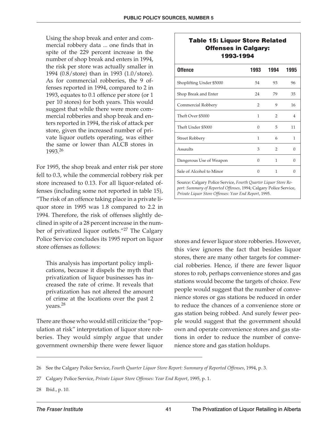Using the shop break and enter and commercial robbery data ... one finds that in spite of the 229 percent increase in the number of shop break and enters in 1994, the risk per store was actually smaller in 1994 (0.8/store) than in 1993 (1.0/store). As for commercial robberies, the 9 offenses reported in 1994, compared to 2 in 1993, equates to 0.1 offence per store (or 1 per 10 stores) for both years. This would suggest that while there were more commercial robberies and shop break and enters reported in 1994, the risk of attack per store, given the increased number of private liquor outlets operating, was either the same or lower than ALCB stores in 1993.<sup>26</sup>

For 1995, the shop break and enter risk per store fell to 0.3, while the commercial robbery risk per store increased to 0.13. For all liquor-related offenses (including some not reported in table 15), "The risk of an offence taking place in a private liquor store in 1995 was 1.8 compared to 2.2 in 1994. Therefore, the risk of offenses slightly declined in spite of a 28 percent increase in the number of privatized liquor outlets."<sup>27</sup> The Calgary Police Service concludes its 1995 report on liquor store offenses as follows:

This analysis has important policy implications, because it dispels the myth that privatization of liquor businesses has increased the rate of crime. It reveals that privatization has not altered the amount of crime at the locations over the past 2 years.28

There are those who would still criticize the "population at risk" interpretation of liquor store robberies. They would simply argue that under government ownership there were fewer liquor

#### **Table 15: Liquor Store Related Offenses in Calgary: 1993-1994**

| <b>Offence</b>           | 1993         | 1994           | 1995   |
|--------------------------|--------------|----------------|--------|
| Shoplifting Under \$5000 | 54           | 93             | 96     |
| Shop Break and Enter     | 24           | 79             | 35     |
| Commercial Robbery       | 2            | 9              | 16     |
| Theft Over \$5000        | $\mathbf{1}$ | $\overline{2}$ | 4      |
| Theft Under \$5000       | 0            | 5              | 11     |
| Street Robbery           | 1            | 6              | 1      |
| Assaults                 | 3            | $\mathcal{P}$  | $\cup$ |
| Dangerous Use of Weapon  | 0            | 1              | ∩      |
| Sale of Alcohol to Minor | ∩            | 1              | Ω      |
|                          |              |                |        |

Source: Calgary Police Service, *Fourth Quarter Liquor Store Report: Summary of Reported Offenses*, 1994; Calgary Police Service, *Private Liquor Store Offenses: Year End Report*, 1995.

stores and fewer liquor store robberies. However, this view ignores the fact that besides liquor stores, there are many other targets for commercial robberies. Hence, if there are fewer liquor stores to rob, perhaps convenience stores and gas stations would become the targets of choice. Few people would suggest that the number of convenience stores or gas stations be reduced in order to reduce the chances of a convenience store or gas station being robbed. And surely fewer people would suggest that the government should own and operate convenience stores and gas stations in order to reduce the number of convenience store and gas station holdups.

28 Ibid., p. 10.

<sup>26</sup> See the Calgary Police Service, *Fourth Quarter Liquor Store Report: Summary of Reported Offenses*, 1994, p. 3.

<sup>27</sup> Calgary Police Service, *Private Liquor Store Offenses: Year End Report*, 1995, p. 1.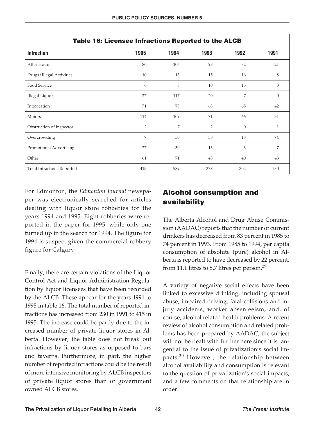| Table 16: Licensee Infractions Reported to the ALCB |                |      |                |                |              |  |
|-----------------------------------------------------|----------------|------|----------------|----------------|--------------|--|
| <b>Infraction</b>                                   | 1995           | 1994 | 1993           | 1992           | 1991         |  |
| After Hours                                         | 80             | 106  | 98             | 72             | 21           |  |
| Drugs/Illegal Activities                            | 10             | 13   | 15             | 16             | 8            |  |
| Food Service                                        | 6              | 8    | 10             | 15             | 3            |  |
| Illegal Liquor                                      | 27             | 117  | 20             | 7              | $\mathbf{0}$ |  |
| Intoxication                                        | 71             | 78   | 63             | 65             | 42           |  |
| <b>Minors</b>                                       | 114            | 109  | 71             | 66             | 31           |  |
| Obstruction of Inspector                            | $\overline{2}$ | 7    | $\overline{2}$ | $\overline{0}$ | $\mathbf{1}$ |  |
| Overcrowding                                        | 7              | 50   | 38             | 18             | 74           |  |
| Promotions/Advertising                              | 27             | 30   | 13             | 3              | 7            |  |
| Other                                               | 61             | 71   | 48             | 40             | 43           |  |
| <b>Total Infractions Reported</b>                   | 415            | 589  | 378            | 302            | 230          |  |

For Edmonton, the *Edmonton Journal* newspaper was electronically searched for articles dealing with liquor store robberies for the years 1994 and 1995. Eight robberies were reported in the paper for 1995, while only one turned up in the search for 1994. The figure for 1994 is suspect given the commercial robbery figure for Calgary.

Finally, there are certain violations of the Liquor Control Act and Liquor Administration Regulation by liquor licensees that have been recorded by the ALCB. These appear for the years 1991 to 1995 in table 16. The total number of reported infractions has increased from 230 in 1991 to 415 in 1995. The increase could be partly due to the increased number of private liquor stores in Alberta. However, the table does not break out infractions by liquor stores as opposed to bars and taverns. Furthermore, in part, the higher number of reported infractions could be the result of more intensive monitoring by ALCB inspectors of private liquor stores than of government owned ALCB stores.

# **Alcohol consumption and availability**

The Alberta Alcohol and Drug Abuse Commission (AADAC) reports that the number of current drinkers has decreased from 83 percent in 1985 to 74 percent in 1993. From 1985 to 1994, per capita consumption of absolute (pure) alcohol in Alberta is reported to have decreased by 22 percent, from 11.1 litres to 8.7 litres per person.<sup>29</sup>

A variety of negative social effects have been linked to excessive drinking, including spousal abuse, impaired driving, fatal collisions and injury accidents, worker absenteeism, and, of course, alcohol related health problems. A recent review of alcohol consumption and related problems has been prepared by AADAC; the subject will not be dealt with further here since it is tangential to the issue of privatization's social impacts.<sup>30</sup> However, the relationship between alcohol availability and consumption is relevant to the question of privatization's social impacts, and a few comments on that relationship are in order.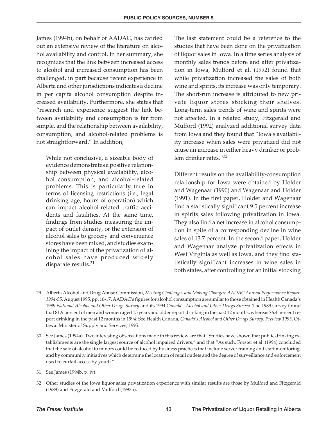James (1994b), on behalf of AADAC, has carried out an extensive review of the literature on alcohol availability and control. In her summary, she recognizes that the link between increased access to alcohol and increased consumption has been challenged, in part because recent experience in Alberta and other jurisdictions indicates a decline in per capita alcohol consumption despite increased availability. Furthermore, she states that "research and experience suggest the link between availability and consumption is far from simple, and the relationship between availability, consumption, and alcohol-related problems is not straightforward." In addition,

While not conclusive, a sizeable body of evidence demonstrates a positive relationship between physical availability, alcohol consumption, and alcohol-related problems. This is particularly true in terms of licensing restrictions (i.e., legal drinking age, hours of operation) which can impact alcohol-related traffic accidents and fatalities. At the same time, findings from studies measuring the impact of outlet density, or the extension of alcohol sales to grocery and convenience stores have been mixed, and studies examining the impact of the privatization of alcohol sales have produced widely disparate results.<sup>31</sup>

The last statement could be a reference to the studies that have been done on the privatization of liquor sales in Iowa. In a time series analysis of monthly sales trends before and after privatization in Iowa, Mulford et al. (1992) found that while privatization increased the sales of both wine and spirits, its increase was only temporary. The short-run increase is attributed to new private liquor stores stocking their shelves. Long-term sales trends of wine and spirits were not affected. In a related study, Fitzgerald and Mulford (1992) analyzed additional survey data from Iowa and they found that "Iowa's availability increase when sales were privatized did not cause an increase in either heavy drinker or problem drinker rates."<sup>32</sup>

Different results on the availability-consumption relationship for Iowa were obtained by Holder and Wagenaar (1990) and Wagenaar and Holder (1991). In the first paper, Holder and Wagenaar find a statistically significant 9.5 percent increase in spirits sales following privatization in Iowa. They also find a net increase in alcohol consumption in spite of a corresponding decline in wine sales of 13.7 percent. In the second paper, Holder and Wagenaar analyze privatization effects in West Virginia as well as Iowa, and they find statistically significant increases in wine sales in both states, after controlling for an initial stocking

<sup>29</sup> Alberta Alcohol and Drug Abuse Commission, *Meeting Challenges and Making Changes: AADAC Annual Performance Report, 1994-95*, August 1995, pp. 16-17. AADAC's figures for alcohol consumption are similar to those obtained in Health Canada's 1989 *National Alcohol and Other Drugs Survey* and its 1994 *Canada's Alcohol and Other Drugs Survey*. The 1989 survey found that 81.9 percent of men and women aged 15 years and older report drinking in the past 12 months, whereas 76.4 percent report drinking in the past 12 months in 1994. See Health Canada, *Canada's Alcohol and Other Drugs Survey: Preview 1995*, Ottawa: Minister of Supply and Services, 1995.

<sup>30</sup> See James (1994a). Two interesting observations made in this review are that "Studies have shown that public drinking establishments are the single largest source of alcohol impaired drivers," and that "As such, Forster et al. (1994) concluded that the sale of alcohol to minors could be reduced by business practices that include server training and staff monitoring, and by community initiatives which determine the location of retail outlets and the degree of surveillance and enforcement used to curtail access by youth."

<sup>31</sup> See James (1994b, p. iv).

<sup>32</sup> Other studies of the Iowa liquor sales privatization experience with similar results are those by Mulford and Fitzgerald (1988) and Fitzgerald and Mulford (1993b).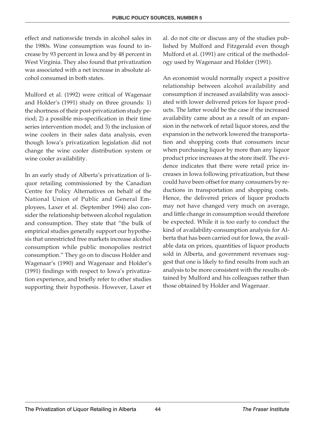effect and nationwide trends in alcohol sales in the 1980s. Wine consumption was found to increase by 93 percent in Iowa and by 48 percent in West Virginia. They also found that privatization was associated with a net increase in absolute alcohol consumed in both states.

Mulford et al. (1992) were critical of Wagenaar and Holder's (1991) study on three grounds: 1) the shortness of their post-privatization study period; 2) a possible mis-specification in their time series intervention model; and 3) the inclusion of wine coolers in their sales data analysis, even though Iowa's privatization legislation did not change the wine cooler distribution system or wine cooler availability.

In an early study of Alberta's privatization of liquor retailing commissioned by the Canadian Centre for Policy Alternatives on behalf of the National Union of Public and General Employees, Laxer et al. (September 1994) also consider the relationship between alcohol regulation and consumption. They state that "the bulk of empirical studies generally support our hypothesis that unrestricted free markets increase alcohol consumption while public monopolies restrict consumption." They go on to discuss Holder and Wagenaar's (1990) and Wagenaar and Holder's (1991) findings with respect to Iowa's privatization experience, and briefly refer to other studies supporting their hypothesis. However, Laxer et al. do not cite or discuss any of the studies published by Mulford and Fitzgerald even though Mulford et al. (1991) are critical of the methodology used by Wagenaar and Holder (1991).

An economist would normally expect a positive relationship between alcohol availability and consumption if increased availability was associated with lower delivered prices for liquor products. The latter would be the case if the increased availability came about as a result of an expansion in the network of retail liquor stores, and the expansion in the network lowered the transportation and shopping costs that consumers incur when purchasing liquor by more than any liquor product price increases at the store itself. The evidence indicates that there were retail price increases in Iowa following privatization, but these could have been offset for many consumers by reductions in transportation and shopping costs. Hence, the delivered prices of liquor products may not have changed very much on average, and little change in consumption would therefore be expected. While it is too early to conduct the kind of availability-consumption analysis for Alberta that has been carried out for Iowa, the available data on prices, quantities of liquor products sold in Alberta, and government revenues suggest that one is likely to find results from such an analysis to be more consistent with the results obtained by Mulford and his colleagues rather than those obtained by Holder and Wagenaar.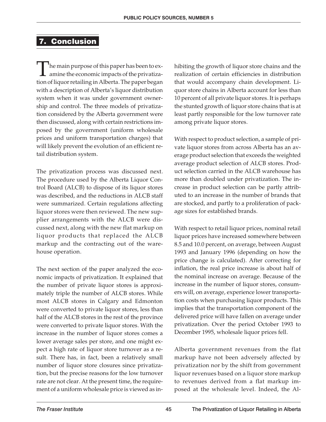#### **7. Conclusion**

The main purpose of this paper has been to ex- $\perp$  amine the economic impacts of the privatization of liquor retailing in Alberta. The paper began with a description of Alberta's liquor distribution system when it was under government ownership and control. The three models of privatization considered by the Alberta government were then discussed, along with certain restrictions imposed by the government (uniform wholesale prices and uniform transportation charges) that will likely prevent the evolution of an efficient retail distribution system.

The privatization process was discussed next. The procedure used by the Alberta Liquor Control Board (ALCB) to dispose of its liquor stores was described, and the reductions in ALCB staff were summarized. Certain regulations affecting liquor stores were then reviewed. The new supplier arrangements with the ALCB were discussed next, along with the new flat markup on liquor products that replaced the ALCB markup and the contracting out of the warehouse operation.

The next section of the paper analyzed the economic impacts of privatization. It explained that the number of private liquor stores is approximately triple the number of ALCB stores. While most ALCB stores in Calgary and Edmonton were converted to private liquor stores, less than half of the ALCB stores in the rest of the province were converted to private liquor stores. With the increase in the number of liquor stores comes a lower average sales per store, and one might expect a high rate of liquor store turnover as a result. There has, in fact, been a relatively small number of liquor store closures since privatization, but the precise reasons for the low turnover rate are not clear. At the present time, the requirement of a uniform wholesale price is viewed as inhibiting the growth of liquor store chains and the realization of certain efficiencies in distribution that would accompany chain development. Liquor store chains in Alberta account for less than 10 percent of all private liquor stores. It is perhaps the stunted growth of liquor store chains that is at least partly responsible for the low turnover rate among private liquor stores.

With respect to product selection, a sample of private liquor stores from across Alberta has an average product selection that exceeds the weighted average product selection of ALCB stores. Product selection carried in the ALCB warehouse has more than doubled under privatization. The increase in product selection can be partly attributed to an increase in the number of brands that are stocked, and partly to a proliferation of package sizes for established brands.

With respect to retail liquor prices, nominal retail liquor prices have increased somewhere between 8.5 and 10.0 percent, on average, between August 1993 and January 1996 (depending on how the price change is calculated). After correcting for inflation, the real price increase is about half of the nominal increase on average. Because of the increase in the number of liquor stores, consumers will, on average, experience lower transportation costs when purchasing liquor products. This implies that the transportation component of the delivered price will have fallen on average under privatization. Over the period October 1993 to December 1995, wholesale liquor prices fell.

Alberta government revenues from the flat markup have not been adversely affected by privatization nor by the shift from government liquor revenues based on a liquor store markup to revenues derived from a flat markup imposed at the wholesale level. Indeed, the Al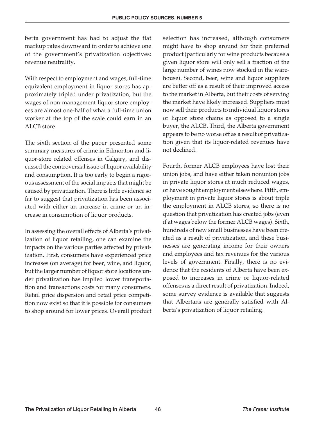berta government has had to adjust the flat markup rates downward in order to achieve one of the government's privatization objectives: revenue neutrality.

With respect to employment and wages, full-time equivalent employment in liquor stores has approximately tripled under privatization, but the wages of non-management liquor store employees are almost one-half of what a full-time union worker at the top of the scale could earn in an ALCB store.

The sixth section of the paper presented some summary measures of crime in Edmonton and liquor-store related offenses in Calgary, and discussed the controversial issue of liquor availability and consumption. It is too early to begin a rigorous assessment of the social impacts that might be caused by privatization. There is little evidence so far to suggest that privatization has been associated with either an increase in crime or an increase in consumption of liquor products.

In assessing the overall effects of Alberta's privatization of liquor retailing, one can examine the impacts on the various parties affected by privatization. First, consumers have experienced price increases (on average) for beer, wine, and liquor, but the larger number of liquor store locations under privatization has implied lower transportation and transactions costs for many consumers. Retail price dispersion and retail price competition now exist so that it is possible for consumers to shop around for lower prices. Overall product selection has increased, although consumers might have to shop around for their preferred product (particularly for wine products because a given liquor store will only sell a fraction of the large number of wines now stocked in the warehouse). Second, beer, wine and liquor suppliers are better off as a result of their improved access to the market in Alberta, but their costs of serving the market have likely increased. Suppliers must now sell their products to individual liquor stores or liquor store chains as opposed to a single buyer, the ALCB. Third, the Alberta government appears to be no worse off as a result of privatization given that its liquor-related revenues have not declined.

Fourth, former ALCB employees have lost their union jobs, and have either taken nonunion jobs in private liquor stores at much reduced wages, or have sought employment elsewhere. Fifth, employment in private liquor stores is about triple the employment in ALCB stores, so there is no question that privatization has created jobs (even if at wages below the former ALCB wages). Sixth, hundreds of new small businesses have been created as a result of privatization, and these businesses are generating income for their owners and employees and tax revenues for the various levels of government. Finally, there is no evidence that the residents of Alberta have been exposed to increases in crime or liquor-related offenses as a direct result of privatization. Indeed, some survey evidence is available that suggests that Albertans are generally satisfied with Alberta's privatization of liquor retailing.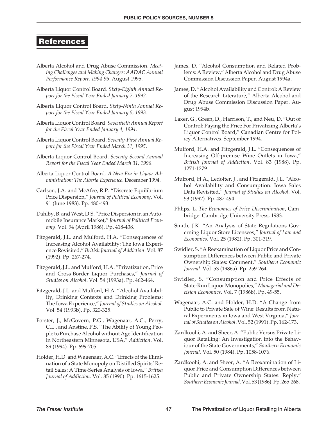#### **References**

- Alberta Alcohol and Drug Abuse Commission. *Meeting Challenges and Making Changes: AADAC Annual Performance Report, 1994-95*. August 1995.
- Alberta Liquor Control Board. *Sixty-Eighth Annual Report for the Fiscal Year Ended January 7, 1992*.
- Alberta Liquor Control Board. *Sixty-Ninth Annual Report for the Fiscal Year Ended January 5, 1993*.
- Alberta Liquor Control Board. *Seventieth Annual Report for the Fiscal Year Ended January 4, 1994*.
- Alberta Liquor Control Board. *Seventy-First Annual Report for the Fiscal Year Ended March 31, 1995*.
- Alberta Liquor Control Board. *Seventy-Second Annual Report for the Fiscal Year Ended March 31, 1996*.
- Alberta Liquor Control Board. *A New Era in Liquor Administration: The Alberta Experience*. December 1994.
- Carlson, J.A. and McAfee, R.P. "Discrete Equilibrium Price Dispersion," *Journal of Political Economy*. Vol. 91 (June 1983). Pp. 480-493.
- Dahlby, B. and West, D.S. "Price Dispersion in an Automobile Insurance Market," *Journal of Political Economy*. Vol. 94 (April 1986). Pp. 418-438.
- Fitzgerald, J.L. and Mulford, H.A. "Consequences of Increasing Alcohol Availability: The Iowa Experience Revisited," *British Journal of Addiction*. Vol. 87 (1992). Pp. 267-274.
- Fitzgerald, J.L. and Mulford, H.A. "Privatization, Price and Cross-Border Liquor Purchases," *Journal of Studies on Alcohol*. Vol. 54 (1993a). Pp. 462-464.
- Fitzgerald, J.L. and Mulford, H.A. "Alcohol Availability, Drinking Contexts and Drinking Problems: The Iowa Experience," *Journal of Studies on Alcohol*. Vol. 54 (1993b). Pp. 320-325.
- Forster, J., McGovern, P.G., Wagenaar, A.C., Perry, C.L., and Anstine, P.S. "The Ability of Young People to Purchase Alcohol without Age Identification in Northeastern Minnesota, USA," *Addiction*. Vol. 89 (1994). Pp. 699-705.
- Holder, H.D. and Wagenaar, A.C. "Effects of the Elimination of a State Monopoly on Distilled Spirits' Retail Sales: A Time-Series Analysis of Iowa," *British Journal of Addiction*. Vol. 85 (1990). Pp. 1615-1625.
- James, D. "Alcohol Consumption and Related Problems: A Review," Alberta Alcohol and Drug Abuse Commission Discussion Paper. August 1994a.
- James, D. "Alcohol Availability and Control: A Review of the Research Literature," Alberta Alcohol and Drug Abuse Commission Discussion Paper. August 1994b.
- Laxer, G., Green, D., Harrison, T., and Neu, D. "Out of Control: Paying the Price For Privatizing Alberta's Liquor Control Board," Canadian Centre for Policy Alternatives. September 1994.
- Mulford, H.A. and Fitzgerald, J.L. "Consequences of Increasing Off-premise Wine Outlets in Iowa," *British Journal of Addiction*. Vol. 83 (1988). Pp. 1271-1279.
- Mulford, H.A., Ledolter, J., and Fitzgerald, J.L. "Alcohol Availability and Consumption: Iowa Sales Data Revisited," *Journal of Studies on Alcohol*. Vol. 53 (1992). Pp. 487-494.
- Phlips, L. *The Economics of Price Discrimination*, Cambridge: Cambridge University Press, 1983.
- Smith, J.K. "An Analysis of State Regulations Governing Liquor Store Licensees," *Journal of Law and Economics*. Vol. 25 (1982). Pp. 301-319.
- Swidler, S. "A Reexamination of Liquor Price and Consumption Differences between Public and Private Ownership States: Comment," *Southern Economic Journal*. Vol. 53 (1986a). Pp. 259-264.
- Swidler, S. "Consumption and Price Effects of State-Run Liquor Monopolies," *Managerial and Decision Economics*. Vol. 7 (1986b). Pp. 49-55.
- Wagenaar, A.C. and Holder, H.D. "A Change from Public to Private Sale of Wine: Results from Natural Experiments in Iowa and West Virginia," *Journal of Studies on Alcohol*. Vol. 52 (1991). Pp. 162-173.
- Zardkoohi, A. and Sheer, A. "Public Versus Private Liquor Retailing: An Investigation into the Behaviour of the State Governments," *Southern Economic Journal*. Vol. 50 (1984). Pp. 1058-1076.
- Zardkoohi, A. and Sheer, A. "A Reexamination of Liquor Price and Consumption Differences between Public and Private Ownership States: Reply," *Southern Economic Journal*. Vol. 53 (1986). Pp. 265-268.